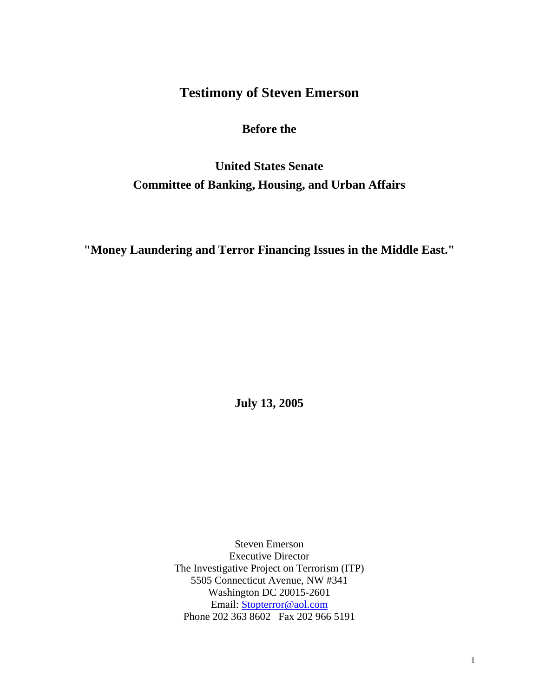## **Testimony of Steven Emerson**

## **Before the**

# **United States Senate Committee of Banking, Housing, and Urban Affairs**

**"Money Laundering and Terror Financing Issues in the Middle East."** 

**July 13, 2005**

Steven Emerson Executive Director The Investigative Project on Terrorism (ITP) 5505 Connecticut Avenue, NW #341 Washington DC 20015-2601 Email: [Stopterror@aol.com](mailto:Stopterror@aol.com) Phone 202 363 8602 Fax 202 966 5191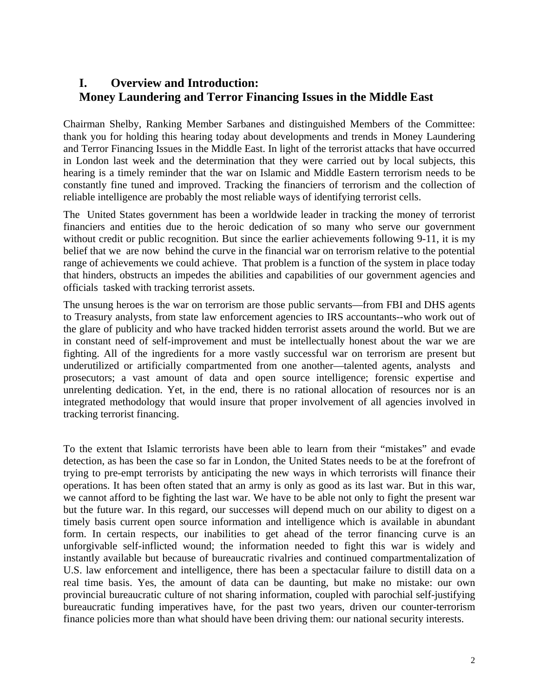## **I. Overview and Introduction: Money Laundering and Terror Financing Issues in the Middle East**

Chairman Shelby, Ranking Member Sarbanes and distinguished Members of the Committee: thank you for holding this hearing today about developments and trends in Money Laundering and Terror Financing Issues in the Middle East. In light of the terrorist attacks that have occurred in London last week and the determination that they were carried out by local subjects, this hearing is a timely reminder that the war on Islamic and Middle Eastern terrorism needs to be constantly fine tuned and improved. Tracking the financiers of terrorism and the collection of reliable intelligence are probably the most reliable ways of identifying terrorist cells.

The United States government has been a worldwide leader in tracking the money of terrorist financiers and entities due to the heroic dedication of so many who serve our government without credit or public recognition. But since the earlier achievements following 9-11, it is my belief that we are now behind the curve in the financial war on terrorism relative to the potential range of achievements we could achieve. That problem is a function of the system in place today that hinders, obstructs an impedes the abilities and capabilities of our government agencies and officials tasked with tracking terrorist assets.

The unsung heroes is the war on terrorism are those public servants—from FBI and DHS agents to Treasury analysts, from state law enforcement agencies to IRS accountants--who work out of the glare of publicity and who have tracked hidden terrorist assets around the world. But we are in constant need of self-improvement and must be intellectually honest about the war we are fighting. All of the ingredients for a more vastly successful war on terrorism are present but underutilized or artificially compartmented from one another—talented agents, analysts and prosecutors; a vast amount of data and open source intelligence; forensic expertise and unrelenting dedication. Yet, in the end, there is no rational allocation of resources nor is an integrated methodology that would insure that proper involvement of all agencies involved in tracking terrorist financing.

To the extent that Islamic terrorists have been able to learn from their "mistakes" and evade detection, as has been the case so far in London, the United States needs to be at the forefront of trying to pre-empt terrorists by anticipating the new ways in which terrorists will finance their operations. It has been often stated that an army is only as good as its last war. But in this war, we cannot afford to be fighting the last war. We have to be able not only to fight the present war but the future war. In this regard, our successes will depend much on our ability to digest on a timely basis current open source information and intelligence which is available in abundant form. In certain respects, our inabilities to get ahead of the terror financing curve is an unforgivable self-inflicted wound; the information needed to fight this war is widely and instantly available but because of bureaucratic rivalries and continued compartmentalization of U.S. law enforcement and intelligence, there has been a spectacular failure to distill data on a real time basis. Yes, the amount of data can be daunting, but make no mistake: our own provincial bureaucratic culture of not sharing information, coupled with parochial self-justifying bureaucratic funding imperatives have, for the past two years, driven our counter-terrorism finance policies more than what should have been driving them: our national security interests.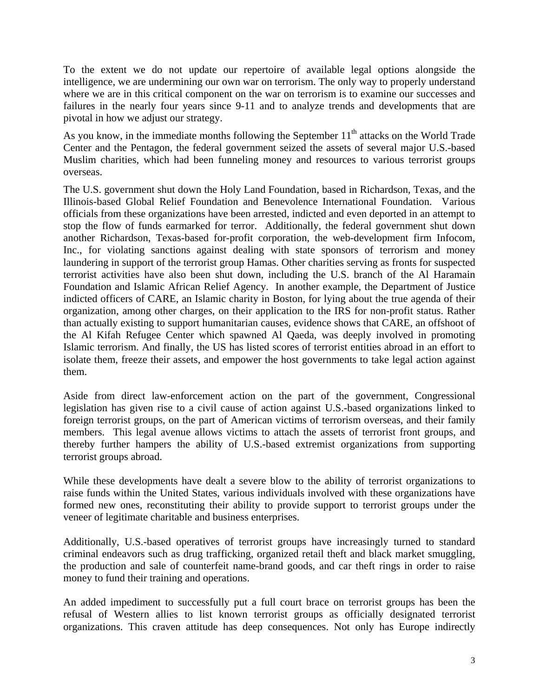To the extent we do not update our repertoire of available legal options alongside the intelligence, we are undermining our own war on terrorism. The only way to properly understand where we are in this critical component on the war on terrorism is to examine our successes and failures in the nearly four years since 9-11 and to analyze trends and developments that are pivotal in how we adjust our strategy.

As you know, in the immediate months following the September 11<sup>th</sup> attacks on the World Trade Center and the Pentagon, the federal government seized the assets of several major U.S.-based Muslim charities, which had been funneling money and resources to various terrorist groups overseas.

The U.S. government shut down the Holy Land Foundation, based in Richardson, Texas, and the Illinois-based Global Relief Foundation and Benevolence International Foundation. Various officials from these organizations have been arrested, indicted and even deported in an attempt to stop the flow of funds earmarked for terror. Additionally, the federal government shut down another Richardson, Texas-based for-profit corporation, the web-development firm Infocom, Inc., for violating sanctions against dealing with state sponsors of terrorism and money laundering in support of the terrorist group Hamas. Other charities serving as fronts for suspected terrorist activities have also been shut down, including the U.S. branch of the Al Haramain Foundation and Islamic African Relief Agency. In another example, the Department of Justice indicted officers of CARE, an Islamic charity in Boston, for lying about the true agenda of their organization, among other charges, on their application to the IRS for non-profit status. Rather than actually existing to support humanitarian causes, evidence shows that CARE, an offshoot of the Al Kifah Refugee Center which spawned Al Qaeda, was deeply involved in promoting Islamic terrorism. And finally, the US has listed scores of terrorist entities abroad in an effort to isolate them, freeze their assets, and empower the host governments to take legal action against them.

Aside from direct law-enforcement action on the part of the government, Congressional legislation has given rise to a civil cause of action against U.S.-based organizations linked to foreign terrorist groups, on the part of American victims of terrorism overseas, and their family members. This legal avenue allows victims to attach the assets of terrorist front groups, and thereby further hampers the ability of U.S.-based extremist organizations from supporting terrorist groups abroad.

While these developments have dealt a severe blow to the ability of terrorist organizations to raise funds within the United States, various individuals involved with these organizations have formed new ones, reconstituting their ability to provide support to terrorist groups under the veneer of legitimate charitable and business enterprises.

Additionally, U.S.-based operatives of terrorist groups have increasingly turned to standard criminal endeavors such as drug trafficking, organized retail theft and black market smuggling, the production and sale of counterfeit name-brand goods, and car theft rings in order to raise money to fund their training and operations.

An added impediment to successfully put a full court brace on terrorist groups has been the refusal of Western allies to list known terrorist groups as officially designated terrorist organizations. This craven attitude has deep consequences. Not only has Europe indirectly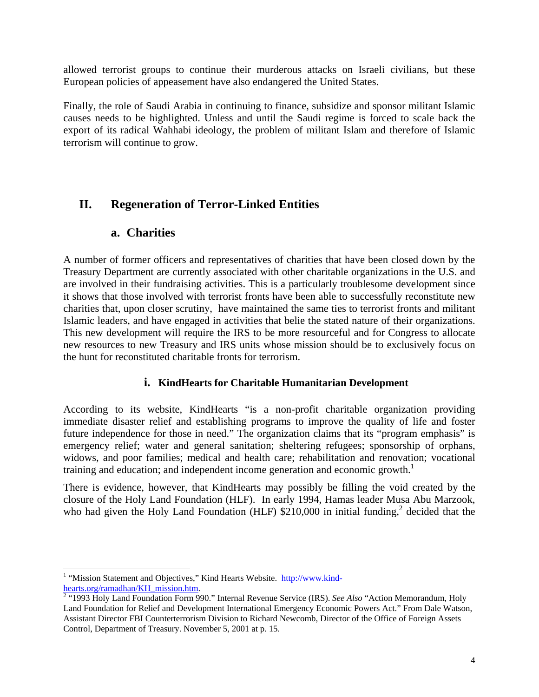allowed terrorist groups to continue their murderous attacks on Israeli civilians, but these European policies of appeasement have also endangered the United States.

Finally, the role of Saudi Arabia in continuing to finance, subsidize and sponsor militant Islamic causes needs to be highlighted. Unless and until the Saudi regime is forced to scale back the export of its radical Wahhabi ideology, the problem of militant Islam and therefore of Islamic terrorism will continue to grow.

## **II. Regeneration of Terror-Linked Entities**

## **a. Charities**

A number of former officers and representatives of charities that have been closed down by the Treasury Department are currently associated with other charitable organizations in the U.S. and are involved in their fundraising activities. This is a particularly troublesome development since it shows that those involved with terrorist fronts have been able to successfully reconstitute new charities that, upon closer scrutiny, have maintained the same ties to terrorist fronts and militant Islamic leaders, and have engaged in activities that belie the stated nature of their organizations. This new development will require the IRS to be more resourceful and for Congress to allocate new resources to new Treasury and IRS units whose mission should be to exclusively focus on the hunt for reconstituted charitable fronts for terrorism.

## **i. KindHearts for Charitable Humanitarian Development**

According to its website, KindHearts "is a non-profit charitable organization providing immediate disaster relief and establishing programs to improve the quality of life and foster future independence for those in need." The organization claims that its "program emphasis" is emergency relief; water and general sanitation; sheltering refugees; sponsorship of orphans, widows, and poor families; medical and health care; rehabilitation and renovation; vocational training and education; and independent income generation and economic growth.<sup>[1](#page-3-0)</sup>

There is evidence, however, that KindHearts may possibly be filling the void created by the closure of the Holy Land Foundation (HLF). In early 1994, Hamas leader Musa Abu Marzook, who had given the Holy Land Foundation (HLF)  $$210,000$  $$210,000$  $$210,000$  in initial funding,<sup>2</sup> decided that the

<span id="page-3-0"></span><sup>1</sup> <sup>1</sup> "Mission Statement and Objectives," Kind Hearts Website. [http://www.kind-](http://www.kind-hearts.org/ramadhan/KH_mission.htm)

<span id="page-3-1"></span>[hearts.org/ramadhan/KH\\_mission.htm](http://www.kind-hearts.org/ramadhan/KH_mission.htm).<br><sup>[2](http://www.kind-hearts.org/ramadhan/KH_mission.htm)</sup> "1993 Holy Land Foundation Form 990." Internal Revenue Service (IRS). *See Also* "Action Memorandum, Holy Land Foundation for Relief and Development International Emergency Economic Powers Act." From Dale Watson, Assistant Director FBI Counterterrorism Division to Richard Newcomb, Director of the Office of Foreign Assets Control, Department of Treasury. November 5, 2001 at p. 15.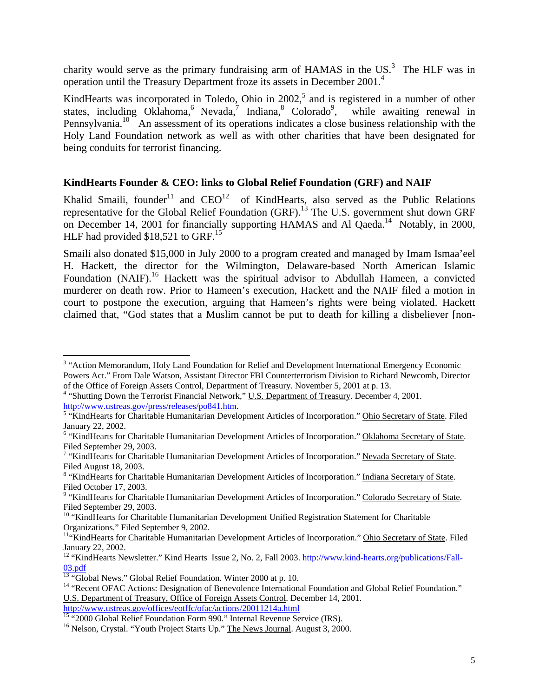charity would serve as the primary fundraising arm of HAMAS in the  $US^3$  $US^3$ . The HLF was in operation until the Treasury Department froze its assets in December 2001.<sup>[4](#page-4-1)</sup>

KindHearts was incorporated in Toledo, Ohio in  $2002$ ,<sup>[5](#page-4-2)</sup> and is registered in a number of other states,including Oklahoma[,](#page-4-6) Nevada, Indiana, Colorado<sup>9</sup>, while awaiting renewal in Pennsylvania.<sup>10</sup> An assessment of its operations indicates a close business relationship with the Holy Land Foundation network as well as with other charities that have been designated for being conduits for terrorist financing.

## **KindHearts Founder & CEO: links to Global Relief Foundation (GRF) and NAIF**

Khalid Smaili, founder<sup>11</sup> and  $CEO<sup>12</sup>$  of KindHearts, also served as the Public Relations representative for the Global Relief Foundation  $(GRF)$ .<sup>13</sup> The U.S. government shut down GRF on December 14, 2001 for financially supporting HAMAS and Al Qaeda.<sup>14</sup> Notably, in 2000, HLF had provided  $$18,521$  to GRF.<sup>[15](#page-4-12)</sup>

Smaili also donated \$15,000 in July 2000 to a program created and managed by Imam Ismaa'eel H. Hackett, the director for the Wilmington, Delaware-based North American Islamic Foundation (NAIF).<sup>16</sup> Hackett was the spiritual advisor to Abdullah Hameen, a convicted murderer on death row. Prior to Hameen's execution, Hackett and the NAIF filed a motion in court to postpone the execution, arguing that Hameen's rights were being violated. Hackett claimed that, "God states that a Muslim cannot be put to death for killing a disbeliever [non-

 $\overline{a}$ 

<span id="page-4-0"></span><sup>&</sup>lt;sup>3</sup> "Action Memorandum, Holy Land Foundation for Relief and Development International Emergency Economic Powers Act." From Dale Watson, Assistant Director FBI Counterterrorism Division to Richard Newcomb, Director

<span id="page-4-1"></span>of the Office of Foreign Assets Control, Department of Treasury. November 5, 2001 at p. 13.<br><sup>4</sup> "Shutting Down the Terrorist Financial Network," <u>U.S. Department of Treasury</u>. December 4, 2001.

<span id="page-4-2"></span>http://www.ustreas.gov/press/releases/po841.htm.<br><sup>5</sup> "KindHearts for Charitable Humanitarian Development Articles of Incorporation." <u>Ohio Secretary of State</u>. Filed January 22, 2002. 6

<span id="page-4-3"></span><sup>&</sup>lt;sup>6</sup> "KindHearts for Charitable Humanitarian Development Articles of Incorporation." Oklahoma Secretary of State. Filed September 29, 2003.

<span id="page-4-4"></span><sup>&</sup>lt;sup>7</sup> "KindHearts for Charitable Humanitarian Development Articles of Incorporation." Nevada Secretary of State. Filed August 18, 2003.

<span id="page-4-5"></span> <sup>&</sup>quot;KindHearts for Charitable Humanitarian Development Articles of Incorporation." Indiana Secretary of State. Filed October 17, 2003.

<span id="page-4-6"></span><sup>&</sup>lt;sup>9</sup> "KindHearts for Charitable Humanitarian Development Articles of Incorporation." Colorado Secretary of State.<br>Filed September 29, 2003.

<span id="page-4-7"></span> $10$  "KindHearts for Charitable Humanitarian Development Unified Registration Statement for Charitable

<span id="page-4-8"></span>Organizations." Filed September 9, 2002.<br><sup>11</sup>"KindHearts for Charitable Humanitarian Development Articles of Incorporation." <u>Ohio Secretary of State</u>. Filed January 22, 2002.<br><sup>12</sup> "KindHearts Newsletter." Kind Hearts Issue 2, No. 2, Fall 2003. [http://www.kind-hearts.org/publications/Fall-](http://www.kind-hearts.org/publications/Fall-03.pdf)

<span id="page-4-9"></span><sup>03.</sup>pdf<br><sup>13</sup> "Global News." Global Relief Foundation. Winter 2000 at p. 10.<br><sup>14</sup> "Recent OFAC Actions: Designation of Benevolence International Foundation and Global Relief Foundation."

<span id="page-4-10"></span>

<span id="page-4-11"></span>U.S. Department of Treasury, Office of Foreign Assets Control. December 14, 2001.<br>http://www.ustreas.gov/offices/eotffc/ofac/actions/20011214a.html

<span id="page-4-12"></span> $\frac{15 \text{ }\mu}{15}$   $\frac{1}{2000}$  Global Relief Foundation Form 990." Internal Revenue Service (IRS).  $\frac{16}{16}$  Nelson, Crystal. "Youth Project Starts Up." The News Journal. August 3, 2000.

<span id="page-4-13"></span>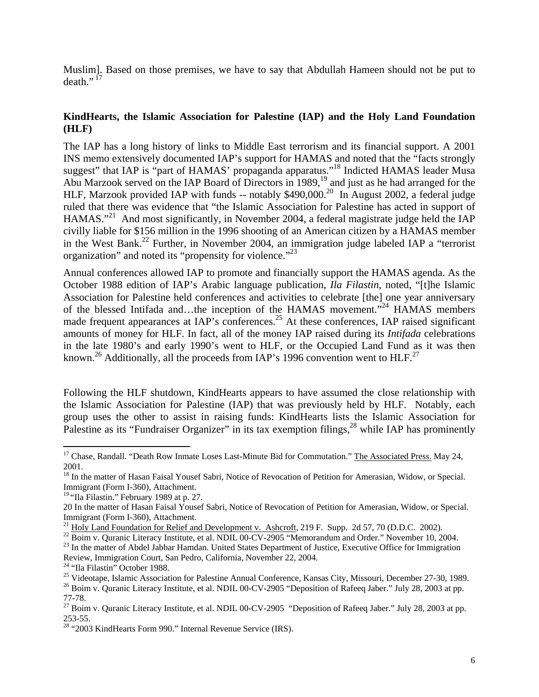Muslim]. Based on those premises, we have to say that Abdullah Hameen should not be put to death." $17$ 

## **KindHearts, the Islamic Association for Palestine (IAP) and the Holy Land Foundation (HLF)**

The IAP has a long history of links to Middle East terrorism and its financial support. A 2001 INS memo extensively documented IAP's support for HAMAS and noted that the "facts strongly suggest" that IAP is "part of HAMAS' propaganda apparatus."<sup>18</sup> Indicted HAMAS leader Musa Abu Marzook served on the IAP Board of Directors in 1989,<sup>19</sup> and just as he had arranged for the HLF, Marzook provided IAP with funds -- notably \$490,000.<sup>20</sup> In August 2002, a federal judge ruled that there was evidence that "the Islamic Association for Palestine has acted in support of HAMAS."<sup>21</sup> And most significantly, in November 2004, a federal magistrate judge held the IAP civilly liable for \$156 million in the 1996 shooting of an American citizen by a HAMAS member in the West Bank.<sup>22</sup> Further, in November 2004, an immigration judge labeled IAP a "terrorist" organization" and noted its "propensity for violence."<sup>[23](#page-5-6)</sup>

Annual conferences allowed IAP to promote and financially support the HAMAS agenda. As the October 1988 edition of IAP's Arabic language publication, *Ila Filastin*, noted, "[t]he Islamic Association for Palestine held conferences and activities to celebrate [the] one year anniversary of the blessed Intifada and…the inception of the HAMAS movement."<sup>24</sup> HAMAS members made frequent appearances at IAP's conferences.<sup>25</sup> At these conferences, IAP raised significant amounts of money for HLF. In fact, all of the money IAP raised during its *Intifada* celebrations in the late 1980's and early 1990's went to HLF, or the Occupied Land Fund as it was then known.<sup>26</sup> Additionally, all the proceeds from IAP's 1996 convention went to HLF.<sup>[27](#page-5-10)</sup>

Following the HLF shutdown, KindHearts appears to have assumed the close relationship with the Islamic Association for Palestine (IAP) that was previously held by HLF. Notably, each group uses the other to assist in raising funds: KindHearts lists the Islamic Association for Palestine as its "Fundraiser Organizer" in its tax exemption filings,<sup>28</sup> while IAP has prominently

Immigrant (Form I-360), Attachment.<br><sup>21</sup> Holy Land Foundation for Relief and Development v. Ashcroft, 219 F. Supp. 2d 57, 70 (D.D.C. 2002).<br><sup>22</sup> Boim v. Quranic Literacy Institute, et al. NDIL 00-CV-2905 "Memorandum and Or

 $\overline{a}$ 

<span id="page-5-0"></span><sup>&</sup>lt;sup>17</sup> Chase, Randall. "Death Row Inmate Loses Last-Minute Bid for Commutation." The Associated Press. May 24,

<span id="page-5-1"></span><sup>2001.&</sup>lt;br><sup>18</sup> In the matter of Hasan Faisal Yousef Sabri, Notice of Revocation of Petition for Amerasian, Widow, or Special. Immigrant (Form I-360), Attachment.

<span id="page-5-2"></span><sup>&</sup>lt;sup>19</sup> "Ila Filastin." February 1989 at p. 27.

<span id="page-5-3"></span><sup>20</sup> In the matter of Hasan Faisal Yousef Sabri, Notice of Revocation of Petition for Amerasian, Widow, or Special.

<span id="page-5-4"></span>

<span id="page-5-6"></span><span id="page-5-5"></span>

<span id="page-5-8"></span><span id="page-5-7"></span>

<sup>&</sup>lt;sup>24</sup> "Ila Filastin" October 1988.<br><sup>25</sup> Videotape, Islamic Association for Palestine Annual Conference, Kansas City, Missouri, December 27-30, 1989.<br><sup>26</sup> Boim v. Quranic Literacy Institute, et al. NDIL 00-CV-2905 "Depositio

<span id="page-5-10"></span><span id="page-5-9"></span><sup>77-78.&</sup>lt;br><sup>27</sup> Boim v. Quranic Literacy Institute, et al. NDIL 00-CV-2905 "Deposition of Rafeeq Jaber." July 28, 2003 at pp. 253-55. <sup>28</sup> "2003 KindHearts Form 990." Internal Revenue Service (IRS).

<span id="page-5-11"></span>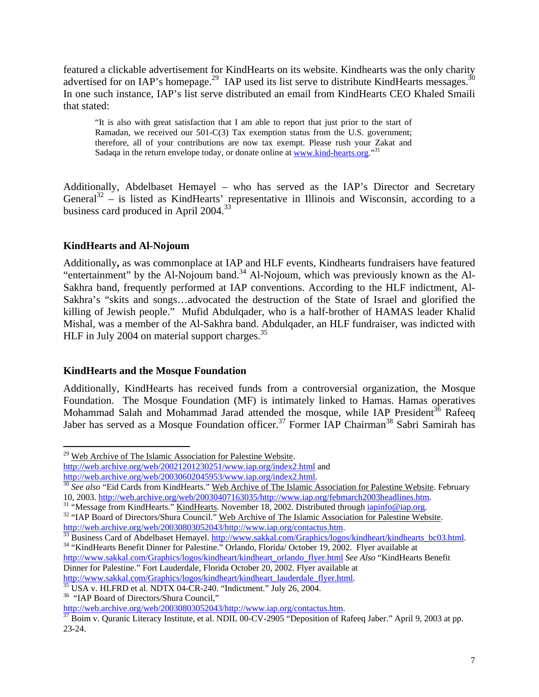featured a clickable advertisement for KindHearts on its website. Kindhearts was the only charity advertised for on IAP's homepage.<sup>29</sup> IAP used its list serve to distribute KindHearts messages.<sup>30</sup> In one such instance, IAP's list serve distributed an email from KindHearts CEO Khaled Smaili that stated:

"It is also with great satisfaction that I am able to report that just prior to the start of Ramadan, we received our 501-C(3) Tax exemption status from the U.S. government; therefore, all of your contributions are now tax exempt. Please rush your Zakat and Sadaqa in the return envelope today, or donate online at [www.kind-hearts.org.](http://www.kind-hearts.org/)"<sup>[31](#page-6-2)</sup>

Additionally, Abdelbaset Hemayel – who has served as the IAP's Director and Secretary General<sup>32</sup> – is listed as KindHearts' representative in Illinois and Wisconsin, according to a business card produced in April 2004.<sup>33</sup>

## **KindHearts and Al-Nojoum**

<span id="page-6-9"></span>1

Additionally**,** as was commonplace at IAP and HLF events, Kindhearts fundraisers have featured "entertainment" by the Al-Nojoum band.<sup>34</sup> Al-Nojoum, which was previously known as the Al-Sakhra band, frequently performed at IAP conventions. According to the HLF indictment, Al-Sakhra's "skits and songs…advocated the destruction of the State of Israel and glorified the killing of Jewish people." Mufid Abdulqader, who is a half-brother of HAMAS leader Khalid Mishal, was a member of the Al-Sakhra band. Abdulqader, an HLF fundraiser, was indicted with HLF in July 2004 on material support charges.<sup>35</sup>

## **KindHearts and the Mosque Foundation**

Additionally, KindHearts has received funds from a controversial organization, the Mosque Foundation. The Mosque Foundation (MF) is intimately linked to Hamas. Hamas operatives Mohammad Salah and Mohammad Jarad attended the mosque, while IAP President<sup>36</sup> Rafeeq Jaber has served as a Mosque Foundation officer.<sup>37</sup> Former IAP Chairman<sup>38</sup> Sabri Samirah has

<span id="page-6-6"></span> $\frac{35}{35}$  $\frac{35}{35}$  $\frac{35}{35}$  USA v. HLFRD et al. NDTX 04-CR-240. "Indictment." July 26, 2004. "IAP Board of Directors/Shura Council,"

<span id="page-6-0"></span><sup>&</sup>lt;sup>29</sup> Web Archive of The Islamic Association for Palestine Website. <http://web.archive.org/web/20021201230251/www.iap.org/index2.html> and<br>http://web.archive.org/web/20030602045953/www.iap.org/index2.html.

<span id="page-6-1"></span><sup>&</sup>lt;sup>[30](http://web.archive.org/web/20030602045953/www.iap.org/index2.html)</sup> See also "Eid Cards from KindHearts." Web Archive of The Islamic Association for Palestine Website. February 10, 2003. [http://web.archive.org/web/20030407163035/http://www.iap.org/febmarch2003headlines.htm.](http://web.archive.org/web/20030407163035/http://www.iap.org/febmarch2003headlines.htm)<br><sup>31</sup> "Message from KindHearts." <u>KindHearts</u>. November 18, 2002. Distributed through <u>iapinfo@iap.org</u>.<br><sup>32</sup> "IAP Board of D

<span id="page-6-2"></span>

<span id="page-6-3"></span>

<span id="page-6-4"></span><http://web.archive.org/web/20030803052043/http://www.iap.org/contactus.htm>.<br>
33 Business Card of Abdelbaset Hemayel[.](http://www.sakkal.com/Graphics/logos/kindheart/kindhearts_bc03.html) http://www.sakkal.com/Graphics/logos/kindheart/kindhearts bc03.html.<br>
<sup>34</sup> "KindHearts Benefit Dinner for

<span id="page-6-5"></span>[http://www.sakkal.com/Graphics/logos/kindheart/kindheart\\_orlando\\_flyer.html](http://www.sakkal.com/Graphics/logos/kindheart/kindheart_orlando_flyer.html) *See Also* "KindHearts Benefit Dinner for Palestine." Fort Lauderdale, Florida October 20, 2002. Flyer available at http://www.sakkal.com/Graphics/logos/kindheart/kindheart lauderdale flyer.html.

<span id="page-6-8"></span>

<span id="page-6-7"></span>[http://web.archive.org/web/20030803052043/http://www.iap.org/contactus.htm.](http://web.archive.org/web/20030803052043/http://www.iap.org/contactus.htm)<br><sup>[37](http://web.archive.org/web/20030803052043/http://www.iap.org/contactus.htm)</sup> Boim v. Quranic Literacy Institute, et al. NDIL 00-CV-2905 "Deposition of Rafeeq Jaber." April 9, 2003 at pp. 23-24.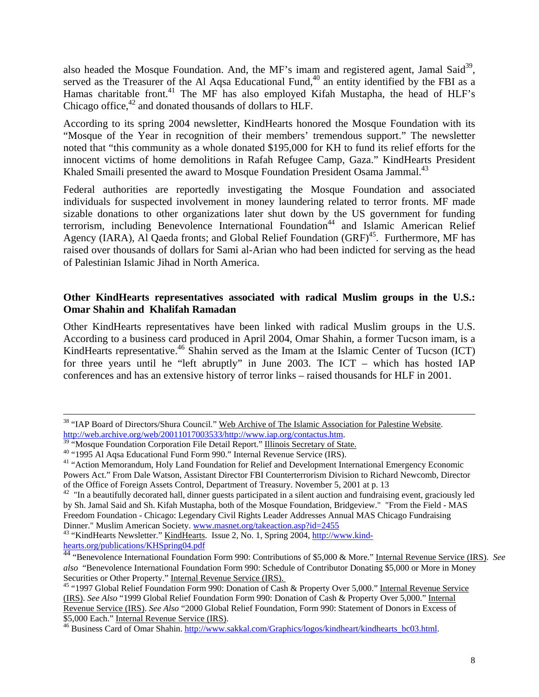also headed the Mosque Foundation. And, the MF's imam and registered agent, Jamal Said<sup>39</sup>, served as the Treasurer of the Al Aqsa Educational Fund,<sup>40</sup> an entity identified by the FBI as a Hamas charitable front.<sup>41</sup> The MF has also employed Kifah Mustapha, the head of HLF's Chicago office, $42$  and donated thousands of dollars to HLF.

According to its spring 2004 newsletter, KindHearts honored the Mosque Foundation with its "Mosque of the Year in recognition of their members' tremendous support." The newsletter noted that "this community as a whole donated \$195,000 for KH to fund its relief efforts for the innocent victims of home demolitions in Rafah Refugee Camp, Gaza." KindHearts President Khaled Smaili presented the award to Mosque Foundation President Osama Jammal.<sup>[43](#page-7-4)</sup>

Federal authorities are reportedly investigating the Mosque Foundation and associated individuals for suspected involvement in money laundering related to terror fronts. MF made sizable donations to other organizations later shut down by the US government for funding terrorism, including Benevolence International Foundation<sup>44</sup> and Islamic American Relief Agency (IARA), Al Qaeda fronts; and Global Relief Foundation  $(GRF)^{45}$ . Furthermore, MF has raised over thousands of dollars for Sami al-Arian who had been indicted for serving as the head of Palestinian Islamic Jihad in North America.

## **Other KindHearts representatives associated with radical Muslim groups in the U.S.: Omar Shahin and Khalifah Ramadan**

Other KindHearts representatives have been linked with radical Muslim groups in the U.S. According to a business card produced in April 2004, Omar Shahin, a former Tucson imam, is a KindHearts representative.<sup>46</sup> Shahin served as the Imam at the Islamic Center of Tucson (ICT) for three years until he "left abruptly" in June 2003. The ICT – which has hosted IAP conferences and has an extensive history of terror links – raised thousands for HLF in 2001.

<sup>&</sup>lt;sup>38</sup> "IAP Board of Directors/Shura Council." Web Archive of The Islamic Association for Palestine Website.<br>http://web.archive.org/web/20011017003533/http://www.iap.org/contactus.htm.

<span id="page-7-0"></span>

<span id="page-7-2"></span><span id="page-7-1"></span>

 $\frac{39}{10}$  $\frac{39}{10}$  $\frac{39}{10}$  "Mosque Foundation Corporation File Detail Report." Illinois Secretary of State.<br><sup>40</sup> "1995 Al Aqsa Educational Fund Form 990." Internal Revenue Service (IRS).<br><sup>41</sup> "Action Memorandum, Holy Land Foundation for Powers Act." From Dale Watson, Assistant Director FBI Counterterrorism Division to Richard Newcomb, Director of the Office of Foreign Assets Control, Department of Treasury. November 5, 2001 at p. 13

<span id="page-7-3"></span> $42$  "In a beautifully decorated hall, dinner guests participated in a silent auction and fundraising event, graciously led by Sh. Jamal Said and Sh. Kifah Mustapha, both of the Mosque Foundation, Bridgeview." "From the Field - MAS Freedom Foundation - Chicago: Legendary Civil Rights Leader Addresses Annual MAS Chicago Fundraising

<span id="page-7-4"></span>Dinner." Muslim American Society. [www.masnet.org/takeaction.asp?id=2455](http://www.masnet.org/takeaction.asp?id=2455)<br><sup>43</sup> "KindHearts Newsletter." <u>KindHearts</u>. Issue 2, No. 1, Spring 2004, <u>http://www.kind-</u><br>hearts.org/publications/KHSpring04.pdf

<span id="page-7-5"></span><sup>&</sup>lt;sup>[44](http://www.kind-hearts.org/publications/KHSpring04.pdf)</sup> "Benevolence International Foundation Form 990: Contributions of \$5,000 & More." Internal Revenue Service (IRS). *See also* "Benevolence International Foundation Form 990: Schedule of Contributor Donating \$5,000 or More in Money Securities or Other Property." Internal Revenue Service (IRS).

<span id="page-7-6"></span>Securities or Other Property." Internal Revenue Service (IRS). 45 "1997 Global Relief Foundation Form 990: Donation of Cash & Property Over 5,000." Internal Revenue Service (IRS). *See Also* "1999 Global Relief Foundation Form 990: Donation of Cash & Property Over 5,000." Internal Revenue Service (IRS). *See Also* "2000 Global Relief Foundation, Form 990: Statement of Donors in Excess of

<span id="page-7-7"></span><sup>&</sup>lt;sup>46</sup> Business Card of Omar Shahin. [http://www.sakkal.com/Graphics/logos/kindheart/kindhearts\\_bc03.html.](http://www.sakkal.com/Graphics/logos/kindheart/kindhearts_bc03.html)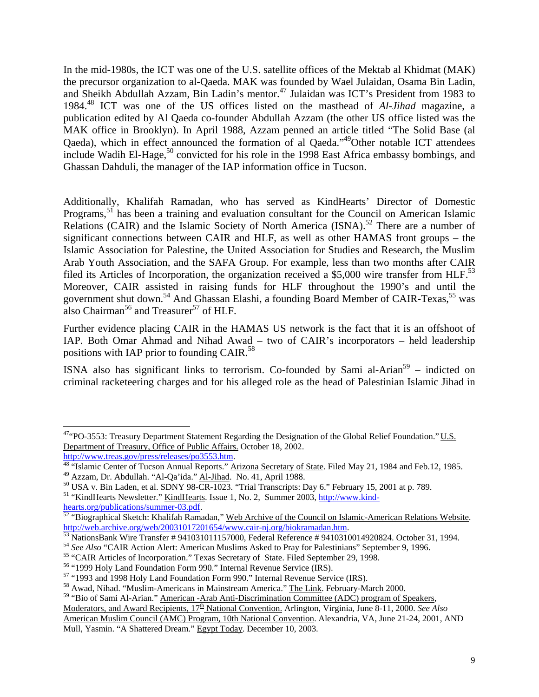In the mid-1980s, the ICT was one of the U.S. satellite offices of the Mektab al Khidmat (MAK) the precursor organization to al-Qaeda. MAK was founded by Wael Julaidan, Osama Bin Ladin, and Sheikh Abdullah Azzam, Bin Ladin's mentor.<sup>47</sup> Julaidan was ICT's President from 1983 to 1984[.48](#page-8-1) ICT was one of the US offices listed on the masthead of *Al-Jihad* magazine, a publication edited by Al Qaeda co-founder Abdullah Azzam (the other US office listed was the MAK office in Brooklyn). In April 1988, Azzam penned an article titled "The Solid Base (al Qaeda), which in effect announced the formation of al Qaeda."[49O](#page-8-2)ther notable ICT attendees include Wadih El-Hage,<sup>50</sup> convicted for his role in the 1998 East Africa embassy bombings, and Ghassan Dahduli, the manager of the IAP information office in Tucson.

Additionally, Khalifah Ramadan, who has served as KindHearts' Director of Domestic Programs,<sup>51</sup> has been a training and evaluation consultant for the Council on American Islamic Relations (CAIR) and the Islamic Society of North America  $(ISNA)$ .<sup>52</sup> There are a number of significant connections between CAIR and HLF, as well as other HAMAS front groups – the Islamic Association for Palestine, the United Association for Studies and Research, the Muslim Arab Youth Association, and the SAFA Group. For example, less than two months after CAIR filed its Articles of Incorporation, the organization received a \$5,000 wire transfer from HLF.<sup>[53](#page-8-6)</sup> Moreover, CAIR assisted in raising funds for HLF throughout the 1990's and until the government shut down.<sup>54</sup> And Ghassan Elashi, a founding Board Member of CAIR-Texas,<sup>55</sup> was also Chairman<sup>56</sup> and Treasurer<sup>57</sup> of HLF.

Further evidence placing CAIR in the HAMAS US network is the fact that it is an offshoot of IAP. Both Omar Ahmad and Nihad Awad – two of CAIR's incorporators – held leadership positions with IAP prior to founding CAIR.<sup>58</sup>

ISNA also has significant links to terrorism. Co-founded by Sami al-Arian<sup>59</sup> – indicted on criminal racketeering charges and for his alleged role as the head of Palestinian Islamic Jihad in

 $\overline{a}$ 

<span id="page-8-0"></span><sup>&</sup>lt;sup>47</sup>"PO-3553: Treasury Department Statement Regarding the Designation of the Global Relief Foundation." U.S. Department of Treasury, Office of Public Affairs. October 18, 2002.<br>http://www.treas.gov/press/releases/po3553.htm.

<span id="page-8-1"></span><sup>&</sup>lt;sup>[48](http://www.treas.gov/press/releases/po3553.htm)</sup> "Islamic Center of Tucson Annual Reports." Arizona Secretary of State. Filed May 21, 1984 and Feb.12, 1985.<br><sup>49</sup> Azzam, Dr. Abdullah. "Al-Qa'ida." <u>Al-Jihad</u>. No. 41, April 1988.<br><sup>50</sup> USA v. Bin Laden, et al. SDNY 98

<span id="page-8-2"></span>

<span id="page-8-3"></span>

<span id="page-8-4"></span>

<span id="page-8-5"></span>[hearts.org/publications/summer-03.pdf.](http://www.kind-hearts.org/publications/summer-03.pdf)<br><sup>[52](http://www.kind-hearts.org/publications/summer-03.pdf)</sup> "Biographical Sketch: Khalifah Ramadan," Web Archive of the Council on Islamic-American Relations Website. <http://web.archive.org/web/20031017201654/www.cair-nj.org/biokramadan.htm>.<br>
<sup>[53](http://web.archive.org/web/20031017201654/www.cair-nj.org/biokramadan.htm)</sup> NationsBank Wire Transfer # 941031011157000, Federal Reference # 9410310014920824. October 31, 1994.<br>
<sup>54</sup> See Also "CAIR Action Alert: Ameri

<span id="page-8-6"></span>

<span id="page-8-7"></span>

<span id="page-8-8"></span>

<span id="page-8-9"></span>

<span id="page-8-10"></span>

<span id="page-8-11"></span>

<span id="page-8-12"></span><sup>&</sup>lt;sup>59</sup> "Bio of Sami Al-Arian." American -Arab Anti-Discrimination Committee (ADC) program of Speakers, Moderators, and Award Recipients, 17<sup>th</sup> National Convention. Arlington, Virginia, June 8-11, 2000. See Also American Muslim Council (AMC) Program, 10th National Convention. Alexandria, VA, June 21-24, 2001, AND Mull, Yasmin. "A Shattered Dream." Egypt Today. December 10, 2003.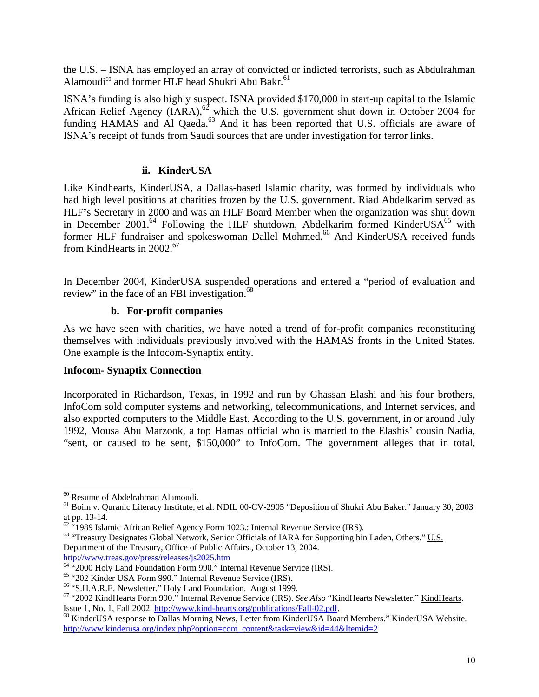the U.S. – ISNA has employed an array of convicted or indicted terrorists, such as Abdulrahman Alamoudi<sup>60</sup> and former HLF head Shukri Abu Bakr.<sup>[61](#page-9-1)</sup>

ISNA's funding is also highly suspect. ISNA provided \$170,000 in start-up capital to the Islamic African Relief Agency  $(IARA)$ ,<sup>62</sup> which the U.S. government shut down in October 2004 for funding HAMAS and Al Qaeda.<sup>63</sup> And it has been reported that U.S. officials are aware of ISNA's receipt of funds from Saudi sources that are under investigation for terror links.

## **ii. KinderUSA**

Like Kindhearts, KinderUSA, a Dallas-based Islamic charity, was formed by individuals who had high level positions at charities frozen by the U.S. government. Riad Abdelkarim served as HLF**'**s Secretary in 2000 and was an HLF Board Member when the organization was shut down in December 2001.<sup>64</sup> Following the HLF shutdown, Abdelkarim formed KinderUSA<sup>65</sup> with former HLF fundraiser and spokeswoman Dallel Mohmed.<sup>66</sup> And KinderUSA received funds from KindHearts in 2002.<sup>[67](#page-9-7)</sup>

In December 2004, KinderUSA suspended operations and entered a "period of evaluation and review" in the face of an FBI investigation.<sup>68</sup>

## **b. For-profit companies**

As we have seen with charities, we have noted a trend of for-profit companies reconstituting themselves with individuals previously involved with the HAMAS fronts in the United States. One example is the Infocom-Synaptix entity.

### **Infocom- Synaptix Connection**

Incorporated in Richardson, Texas, in 1992 and run by Ghassan Elashi and his four brothers, InfoCom sold computer systems and networking, telecommunications, and Internet services, and also exported computers to the Middle East. According to the U.S. government, in or around July 1992, Mousa Abu Marzook, a top Hamas official who is married to the Elashis' cousin Nadia, "sent, or caused to be sent, \$150,000" to InfoCom. The government alleges that in total,

 $\overline{a}$ 

<span id="page-9-1"></span><span id="page-9-0"></span>

<sup>&</sup>lt;sup>60</sup> Resume of Abdelrahman Alamoudi.<br><sup>61</sup> Boim v. Quranic Literacy Institute, et al. NDIL 00-CV-2905 "Deposition of Shukri Abu Baker." January 30, 2003 at pp. 13-14.

<span id="page-9-3"></span><span id="page-9-2"></span>

 $\frac{62}{1989}$  Islamic African Relief Agency Form 1023.: <u>Internal Revenue Service (IRS)</u>.<br><sup>63</sup> "Treasury Designates Global Network, Senior Officials of IARA for Supporting bin Laden, Others." U.S. Department of the Treasury, Office of Public Affairs., October 13, 2004.

<span id="page-9-4"></span>

<span id="page-9-5"></span>

<span id="page-9-7"></span><span id="page-9-6"></span>

<http://www.treas.gov/press/releases/js2025.htm><br>
<sup>64</sup> "2000 Holy Land Foundation Form 990." Internal Revenue Service (IRS).<br>
<sup>65</sup> "202 Kinder USA Form 990." Internal Revenue Service (IRS).<br>
<sup>66</sup> "S.H.A.R.E. Newsletter." <u>Ho</u>

<span id="page-9-8"></span><sup>&</sup>lt;sup>68</sup> KinderUSA response to Dallas Morning News, Letter from KinderUSA Board Members." KinderUSA Website. [http://www.kinderusa.org/index.php?option=com\\_content&task=view&id=44&Itemid=2](http://www.kinderusa.org/index.php?option=com_content&task=view&id=44&Itemid=2)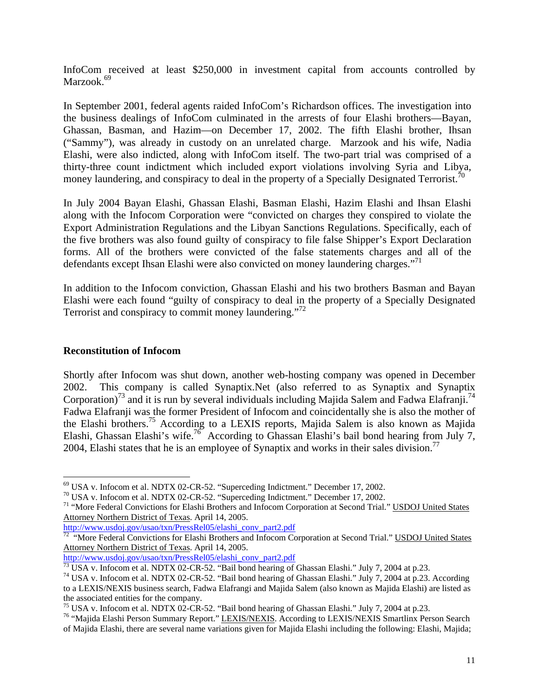<span id="page-10-7"></span>InfoCom received at least \$250,000 in investment capital from accounts controlled by Marzook.<sup>[69](#page-10-0)</sup>

In September 2001, federal agents raided InfoCom's Richardson offices. The investigation into the business dealings of InfoCom culminated in the arrests of four Elashi brothers—Bayan, Ghassan, Basman, and Hazim—on December 17, 2002. The fifth Elashi brother, Ihsan ("Sammy"), was already in custody on an unrelated charge. Marzook and his wife, Nadia Elashi, were also indicted, along with InfoCom itself. The two-part trial was comprised of a thirty-three count indictment which included export violations involving Syria and Libya, money laundering, and conspiracy to deal in the property of a Specially Designated Terrorist.<sup>70</sup>

In July 2004 Bayan Elashi, Ghassan Elashi, Basman Elashi, Hazim Elashi and Ihsan Elashi along with the Infocom Corporation were "convicted on charges they conspired to violate the Export Administration Regulations and the Libyan Sanctions Regulations. Specifically, each of the five brothers was also found guilty of conspiracy to file false Shipper's Export Declaration forms. All of the brothers were convicted of the false statements charges and all of the defendants except Ihsan Elashi were also convicted on money laundering charges."<sup>[71](#page-10-2)</sup>

In addition to the Infocom conviction, Ghassan Elashi and his two brothers Basman and Bayan Elashi were each found "guilty of conspiracy to deal in the property of a Specially Designated Terrorist and conspiracy to commit money laundering."[72](#page-10-3)

#### **Reconstitution of Infocom**

<span id="page-10-8"></span>1

Shortly after Infocom was shut down, another web-hosting company was opened in December 2002. This company is called Synaptix.Net (also referred to as Synaptix and Synaptix Corporation)<sup>73</sup> and it is run by several individuals including Majida Salem and Fadwa Elafranji.<sup>74</sup> Fadwa Elafranji was the former President of Infocom and coincidentally she is also the mother of the Elashi brothers.[75](#page-10-6) According to a LEXIS reports, Majida Salem is also known as Majida Elashi, Ghassan Elashi's wife.[76](#page-10-7) According to Ghassan Elashi's bail bond hearing from July 7, 2004, Elashi states that he is an employee of Synaptix and works in their sales division.<sup>77</sup>

<span id="page-10-3"></span>

<span id="page-10-0"></span>

<span id="page-10-2"></span><span id="page-10-1"></span>

<sup>&</sup>lt;sup>69</sup> USA v. Infocom et al. NDTX 02-CR-52. "Superceding Indictment." December 17, 2002.<br><sup>70</sup> USA v. Infocom et al. NDTX 02-CR-52. "Superceding Indictment." December 17, 2002.<br><sup>71</sup> "More Federal Convictions for Elashi Broth Attorney Northern District of Texas. April 14, 2005.

http://www.usdoj.gov/usao/txn/PressRel05/elashi\_conv\_part2.pdf<br><sup>72</sup> "More Federal Convictions for Elashi Brothers and Infocom Corporation at Second Trial." USDOJ United States Attorney Northern District of Texas. April 14, 2005.

<span id="page-10-5"></span><span id="page-10-4"></span>

http://www.usdoj.gov/usao/txn/PressRel05/elashi\_conv\_part2.pdf<br>
<sup>73</sup> USA v. Infocom et al. NDTX 02-CR-52. "Bail bond hearing of Ghassan Elashi." July 7, 2004 at p.23.<br>
<sup>74</sup> USA v. Infocom et al. NDTX 02-CR-52. "Bail bond h to a LEXIS/NEXIS business search, Fadwa Elafrangi and Majida Salem (also known as Majida Elashi) are listed as the associated entities for the company.<br><sup>75</sup> USA v. Infocom et al. NDTX 02-CR-52. "Bail bond hearing of Ghassan Elashi." July 7, 2004 at p.23.<br><sup>76</sup> "Majida Elashi Person Summary Report." <u>LEXIS/NEXIS</u>. According to LEXIS/

<span id="page-10-6"></span>

of Majida Elashi, there are several name variations given for Majida Elashi including the following: Elashi, Majida;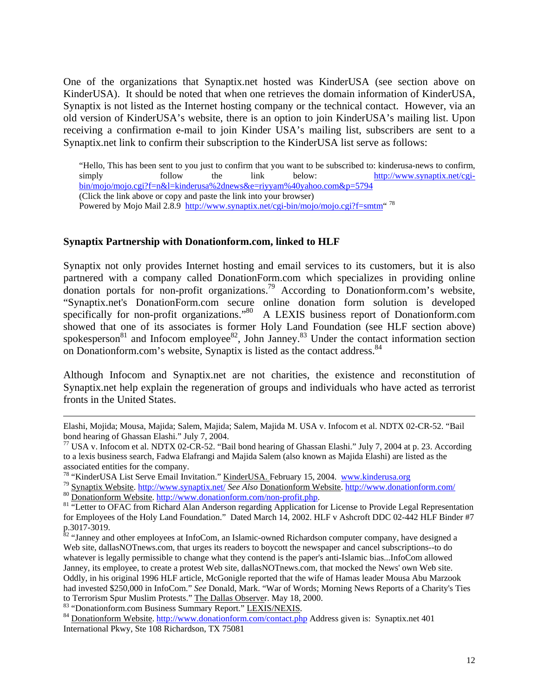One of the organizations that Synaptix.net hosted was KinderUSA (see section above on KinderUSA). It should be noted that when one retrieves the domain information of KinderUSA, Synaptix is not listed as the Internet hosting company or the technical contact. However, via an old version of KinderUSA's website, there is an option to join KinderUSA's mailing list. Upon receiving a confirmation e-mail to join Kinder USA's mailing list, subscribers are sent to a Synaptix.net link to confirm their subscription to the KinderUSA list serve as follows:

"Hello, This has been sent to you just to confirm that you want to be subscribed to: kinderusa-news to confirm, simply follow the link below: [http://www.synaptix.net/cgi](http://www.synaptix.net/cgi-bin/mojo/mojo.cgi?f=n&l=kinderusa%2dnews&e=riyyam%40yahoo.com&p=5794)[bin/mojo/mojo.cgi?f=n&l=kinderusa%2dnews&e=riyyam%40yahoo.com&p=5794](http://www.synaptix.net/cgi-bin/mojo/mojo.cgi?f=n&l=kinderusa%2dnews&e=riyyam%40yahoo.com&p=5794) (Click the link above or copy and paste the link into your browser) Powered by Mojo Mail 2.8.9 <http://www.synaptix.net/cgi-bin/mojo/mojo.cgi?f=smtm>" [78](#page-11-0)

### **Synaptix Partnership with Donationform.com, linked to HLF**

Synaptix not only provides Internet hosting and email services to its customers, but it is also partnered with a company called DonationForm.com which specializes in providing online donation portals for non-profit organizations.[79](#page-11-1) According to Donationform.com's website, "Synaptix.net's DonationForm.com secure online donation form solution is developed specifically for non-profit organizations."<sup>80</sup> A LEXIS business report of Donationform.com showed that one of its associates is former Holy Land Foundation (see HLF section above) spokesperson<sup>81</sup> and Infocom employee<sup>82</sup>, John Janney.<sup>83</sup> Under the contact information section on Donationform.com's website, Synaptix is listed as the contact address.<sup>[84](#page-11-6)</sup>

Although Infocom and Synaptix.net are not charities, the existence and reconstitution of Synaptix.net help explain the regeneration of groups and individuals who have acted as terrorist fronts in the United States.

Elashi, Mojida; Mousa, Majida; Salem, Majida; Salem, Majida M. USA v. Infocom et al. NDTX 02-CR-52. "Bail bond hearing of Ghassan Elashi." July 7, 2004.<br><sup>77</sup> USA v. Infocom et al. NDTX 02-CR-52. "Bail bond hearing of Ghassan Elashi." July 7, 2004 at p. 23. According

to a lexis business search, Fadwa Elafrangi and Majida Salem (also known as Majida Elashi) are listed as the

<span id="page-11-1"></span><span id="page-11-0"></span>

associated entities for the company.<br><sup>78</sup> "KinderUSA List Serve Email Invitation." <u>KinderUSA.</u> February 15, 2004. [www.kinderusa.org](http://www.kinderusa.org/)<br><sup>79</sup> Synaptix Website. http://www.synaptix.net/ See Also Donationform Website. http://www

<span id="page-11-3"></span><span id="page-11-2"></span>

for Employees of the Holy Land Foundation." Dated March 14, 2002. HLF v Ashcroft DDC 02-442 HLF Binder #7 p.3017-3019.<br><sup>82</sup> "Janney and other employees at InfoCom, an Islamic-owned Richardson computer company, have designed a

<span id="page-11-4"></span>Web site, dallasNOTnews.com, that urges its readers to boycott the newspaper and cancel subscriptions--to do whatever is legally permissible to change what they contend is the paper's anti-Islamic bias...InfoCom allowed Janney, its employee, to create a protest Web site, dallasNOTnews.com, that mocked the News' own Web site. Oddly, in his original 1996 HLF article, McGonigle reported that the wife of Hamas leader Mousa Abu Marzook had invested \$250,000 in InfoCom." *See* Donald, Mark. "War of Words; Morning News Reports of a Charity's Ties to Terrorism Spur Muslim Protests." The Dallas Observer. May 18, 2000.

<span id="page-11-6"></span><span id="page-11-5"></span>

<sup>&</sup>lt;sup>83</sup> "Donationform.com Business Summary Report." LEXIS/NEXIS.<br><sup>84</sup> Donationform Website. <http://www.donationform.com/contact.php> Address given is: Synaptix.net 401 International Pkwy, Ste 108 Richardson, TX 75081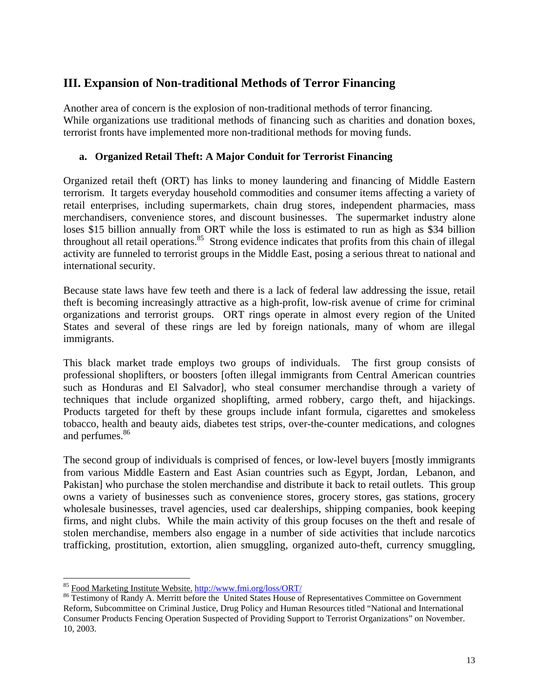## **III. Expansion of Non-traditional Methods of Terror Financing**

Another area of concern is the explosion of non-traditional methods of terror financing. While organizations use traditional methods of financing such as charities and donation boxes, terrorist fronts have implemented more non-traditional methods for moving funds.

## **a. Organized Retail Theft: A Major Conduit for Terrorist Financing**

Organized retail theft (ORT) has links to money laundering and financing of Middle Eastern terrorism. It targets everyday household commodities and consumer items affecting a variety of retail enterprises, including supermarkets, chain drug stores, independent pharmacies, mass merchandisers, convenience stores, and discount businesses. The supermarket industry alone loses \$15 billion annually from ORT while the loss is estimated to run as high as \$34 billion throughout all retail operations.<sup>85</sup> Strong evidence indicates that profits from this chain of illegal activity are funneled to terrorist groups in the Middle East, posing a serious threat to national and international security.

Because state laws have few teeth and there is a lack of federal law addressing the issue, retail theft is becoming increasingly attractive as a high-profit, low-risk avenue of crime for criminal organizations and terrorist groups. ORT rings operate in almost every region of the United States and several of these rings are led by foreign nationals, many of whom are illegal immigrants.

This black market trade employs two groups of individuals. The first group consists of professional shoplifters, or boosters [often illegal immigrants from Central American countries such as Honduras and El Salvador], who steal consumer merchandise through a variety of techniques that include organized shoplifting, armed robbery, cargo theft, and hijackings. Products targeted for theft by these groups include infant formula, cigarettes and smokeless tobacco, health and beauty aids, diabetes test strips, over-the-counter medications, and colognes and perfumes. [86](#page-12-1) 

The second group of individuals is comprised of fences, or low-level buyers [mostly immigrants from various Middle Eastern and East Asian countries such as Egypt, Jordan, Lebanon, and Pakistan] who purchase the stolen merchandise and distribute it back to retail outlets. This group owns a variety of businesses such as convenience stores, grocery stores, gas stations, grocery wholesale businesses, travel agencies, used car dealerships, shipping companies, book keeping firms, and night clubs. While the main activity of this group focuses on the theft and resale of stolen merchandise, members also engage in a number of side activities that include narcotics trafficking, prostitution, extortion, alien smuggling, organized auto-theft, currency smuggling,

<sup>1</sup> 

<span id="page-12-1"></span><span id="page-12-0"></span><sup>&</sup>lt;sup>85</sup> Food Marketing Institute Website. http://www.fmi.org/loss/ORT/<br><sup>86</sup> Testimony of Randy A. Merritt before the United States House of Representatives Committee on Government Reform, Subcommittee on Criminal Justice, Drug Policy and Human Resources titled "National and International Consumer Products Fencing Operation Suspected of Providing Support to Terrorist Organizations" on November. 10, 2003.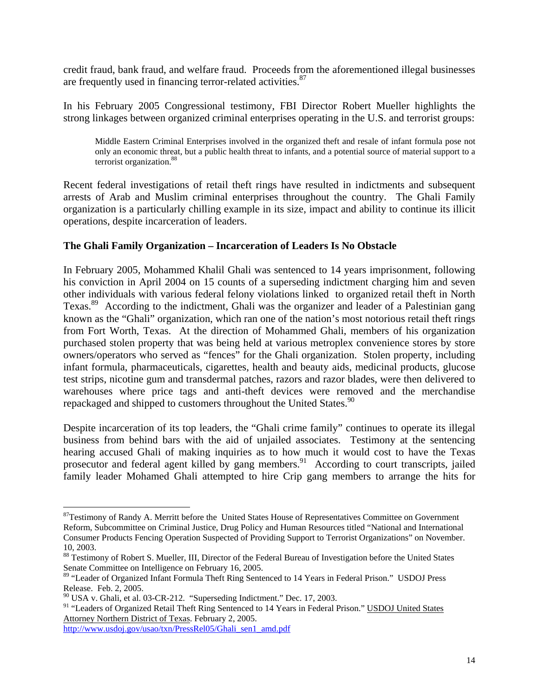credit fraud, bank fraud, and welfare fraud. Proceeds from the aforementioned illegal businesses are frequently used in financing terror-related activities.<sup>87</sup>

In his February 2005 Congressional testimony, FBI Director Robert Mueller highlights the strong linkages between organized criminal enterprises operating in the U.S. and terrorist groups:

Middle Eastern Criminal Enterprises involved in the organized theft and resale of infant formula pose not only an economic threat, but a public health threat to infants, and a potential source of material support to a terrorist organization.<sup>[88](#page-13-1)</sup>

Recent federal investigations of retail theft rings have resulted in indictments and subsequent arrests of Arab and Muslim criminal enterprises throughout the country. The Ghali Family organization is a particularly chilling example in its size, impact and ability to continue its illicit operations, despite incarceration of leaders.

## **The Ghali Family Organization – Incarceration of Leaders Is No Obstacle**

In February 2005, Mohammed Khalil Ghali was sentenced to 14 years imprisonment, following his conviction in April 2004 on 15 counts of a superseding indictment charging him and seven other individuals with various federal felony violations linked to organized retail theft in North Texas.<sup>89</sup> According to the indictment, Ghali was the organizer and leader of a Palestinian gang known as the "Ghali" organization, which ran one of the nation's most notorious retail theft rings from Fort Worth, Texas. At the direction of Mohammed Ghali, members of his organization purchased stolen property that was being held at various metroplex convenience stores by store owners/operators who served as "fences" for the Ghali organization. Stolen property, including infant formula, pharmaceuticals, cigarettes, health and beauty aids, medicinal products, glucose test strips, nicotine gum and transdermal patches, razors and razor blades, were then delivered to warehouses where price tags and anti-theft devices were removed and the merchandise repackaged and shipped to customers throughout the United States.<sup>90</sup>

Despite incarceration of its top leaders, the "Ghali crime family" continues to operate its illegal business from behind bars with the aid of unjailed associates. Testimony at the sentencing hearing accused Ghali of making inquiries as to how much it would cost to have the Texas prosecutor and federal agent killed by gang members.<sup>91</sup> According to court transcripts, jailed family leader Mohamed Ghali attempted to hire Crip gang members to arrange the hits for

<span id="page-13-4"></span><sup>91</sup> "Leaders of Organized Retail Theft Ring Sentenced to 14 Years in Federal Prison." USDOJ United States Attorney Northern District of Texas. February 2, 2005.

[http://www.usdoj.gov/usao/txn/PressRel05/Ghali\\_sen1\\_amd.pdf](http://www.usdoj.gov/usao/txn/PressRel05/Ghali_sen1_amd.pdf)

1

<span id="page-13-0"></span><sup>&</sup>lt;sup>87</sup>Testimony of Randy A. Merritt before the United States House of Representatives Committee on Government Reform, Subcommittee on Criminal Justice, Drug Policy and Human Resources titled "National and International Consumer Products Fencing Operation Suspected of Providing Support to Terrorist Organizations" on November. 10, 2003.

<span id="page-13-1"></span><sup>88</sup> Testimony of Robert S. Mueller, III, Director of the Federal Bureau of Investigation before the United States Senate Committee on Intelligence on February 16, 2005.

<span id="page-13-2"></span><sup>89 &</sup>quot;Leader of Organized Infant Formula Theft Ring Sentenced to 14 Years in Federal Prison." USDOJ Press Release. Feb. 2, 2005.<br><sup>90</sup> USA v. Ghali, et al. 03-CR-212. "Superseding Indictment." Dec. 17, 2003.

<span id="page-13-3"></span>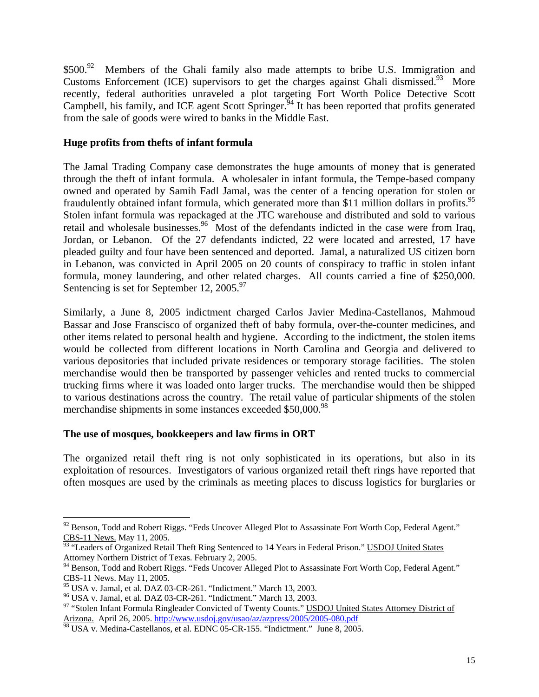\$500.<sup>92</sup> Members of the Ghali family also made attempts to bribe U.S. Immigration and Customs Enforcement (ICE) supervisors to get the charges against Ghali dismissed.<sup>93</sup> More recently, federal authorities unraveled a plot targeting Fort Worth Police Detective Scott Campbell, his family, and ICE agent Scott Springer.<sup>94</sup> It has been reported that profits generated from the sale of goods were wired to banks in the Middle East.

## **Huge profits from thefts of infant formula**

The Jamal Trading Company case demonstrates the huge amounts of money that is generated through the theft of infant formula. A wholesaler in infant formula, the Tempe-based company owned and operated by Samih Fadl Jamal, was the center of a fencing operation for stolen or fraudulently obtained infant formula, which generated more than \$11 million dollars in profits.<sup>95</sup> Stolen infant formula was repackaged at the JTC warehouse and distributed and sold to various retail and wholesale businesses.<sup>96</sup> Most of the defendants indicted in the case were from Iraq, Jordan, or Lebanon. Of the 27 defendants indicted, 22 were located and arrested, 17 have pleaded guilty and four have been sentenced and deported. Jamal, a naturalized US citizen born in Lebanon, was convicted in April 2005 on 20 counts of conspiracy to traffic in stolen infant formula, money laundering, and other related charges. All counts carried a fine of \$250,000. Sentencing is set for September 12,  $2005.^{97}$ 

Similarly, a June 8, 2005 indictment charged Carlos Javier Medina-Castellanos, Mahmoud Bassar and Jose Franscisco of organized theft of baby formula, over-the-counter medicines, and other items related to personal health and hygiene. According to the indictment, the stolen items would be collected from different locations in North Carolina and Georgia and delivered to various depositories that included private residences or temporary storage facilities. The stolen merchandise would then be transported by passenger vehicles and rented trucks to commercial trucking firms where it was loaded onto larger trucks. The merchandise would then be shipped to various destinations across the country. The retail value of particular shipments of the stolen merchandise shipments in some instances exceeded \$50,000.<sup>98</sup>

### **The use of mosques, bookkeepers and law firms in ORT**

The organized retail theft ring is not only sophisticated in its operations, but also in its exploitation of resources. Investigators of various organized retail theft rings have reported that often mosques are used by the criminals as meeting places to discuss logistics for burglaries or

1

<span id="page-14-0"></span> $92$  Benson, Todd and Robert Riggs. "Feds Uncover Alleged Plot to Assassinate Fort Worth Cop, Federal Agent."

<span id="page-14-1"></span>CBS-11 News. May 11, 2005.<br><sup>93</sup> "Leaders of Organized Retail Theft Ring Sentenced to 14 Years in Federal Prison." <u>USDOJ United States</u><br>Attorney Northern District of Texas. February 2, 2005.

<span id="page-14-2"></span>Benson, Todd and Robert Riggs. "Feds Uncover Alleged Plot to Assassinate Fort Worth Cop, Federal Agent." CBS-11 News. May 11, 2005.<br><sup>95</sup> USA v. Jamal, et al. DAZ 03-CR-261. "Indictment." March 13, 2003.<br><sup>96</sup> USA v. Jamal, et al. DAZ 03-CR-261. "Indictment." March 13, 2003.<br><sup>97</sup> "Stolen Infant Formula Ringleader Convicted of T

<span id="page-14-3"></span>

<span id="page-14-4"></span>

<span id="page-14-5"></span>Arizona. April 26, 2005.<http://www.usdoj.gov/usao/az/azpress/2005/2005-080.pdf>

<span id="page-14-6"></span> $8^3$  USA v. Medina-Castellanos, et al. EDNC 05-CR-155. "Indictment." June 8, 2005.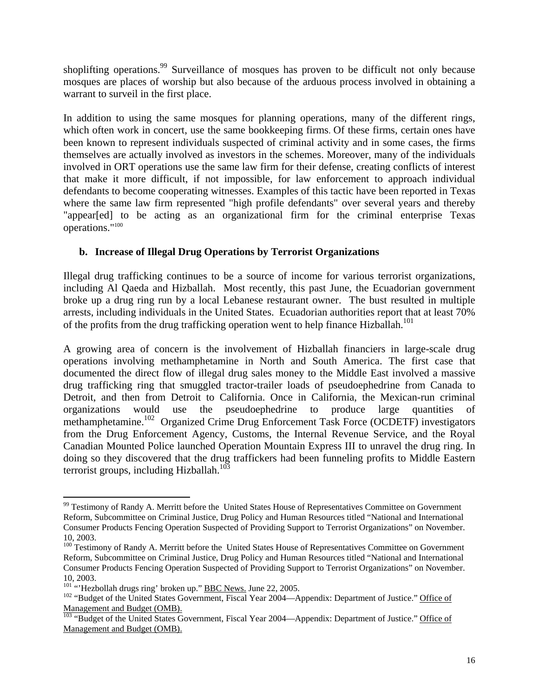shoplifting operations.<sup>99</sup> Surveillance of mosques has proven to be difficult not only because mosques are places of worship but also because of the arduous process involved in obtaining a warrant to surveil in the first place.

In addition to using the same mosques for planning operations, many of the different rings, which often work in concert, use the same bookkeeping firms. Of these firms, certain ones have been known to represent individuals suspected of criminal activity and in some cases, the firms themselves are actually involved as investors in the schemes. Moreover, many of the individuals involved in ORT operations use the same law firm for their defense, creating conflicts of interest that make it more difficult, if not impossible, for law enforcement to approach individual defendants to become cooperating witnesses. Examples of this tactic have been reported in Texas where the same law firm represented "high profile defendants" over several years and thereby "appear[ed] to be acting as an organizational firm for the criminal enterprise Texas operations."[100](#page-15-1)

## **b. Increase of Illegal Drug Operations by Terrorist Organizations**

Illegal drug trafficking continues to be a source of income for various terrorist organizations, including Al Qaeda and Hizballah. Most recently, this past June, the Ecuadorian government broke up a drug ring run by a local Lebanese restaurant owner. The bust resulted in multiple arrests, including individuals in the United States. Ecuadorian authorities report that at least 70% of the profits from the drug trafficking operation went to help finance Hizballah.<sup>101</sup>

A growing area of concern is the involvement of Hizballah financiers in large-scale drug operations involving methamphetamine in North and South America. The first case that documented the direct flow of illegal drug sales money to the Middle East involved a massive drug trafficking ring that smuggled tractor-trailer loads of pseudoephedrine from Canada to Detroit, and then from Detroit to California. Once in California, the Mexican-run criminal organizations would use the pseudoephedrine to produce large quantities of methamphetamine.<sup>102</sup> Organized Crime Drug Enforcement Task Force (OCDETF) investigators from the Drug Enforcement Agency, Customs, the Internal Revenue Service, and the Royal Canadian Mounted Police launched Operation Mountain Express III to unravel the drug ring. In doing so they discovered that the drug traffickers had been funneling profits to Middle Eastern terrorist groups, including Hizballah.<sup>103</sup>

<span id="page-15-0"></span><sup>1</sup> <sup>99</sup> Testimony of Randy A. Merritt before the United States House of Representatives Committee on Government Reform, Subcommittee on Criminal Justice, Drug Policy and Human Resources titled "National and International Consumer Products Fencing Operation Suspected of Providing Support to Terrorist Organizations" on November. 10, 2003.

<span id="page-15-1"></span><sup>&</sup>lt;sup>100</sup> Testimony of Randy A. Merritt before the United States House of Representatives Committee on Government Reform, Subcommittee on Criminal Justice, Drug Policy and Human Resources titled "National and International Consumer Products Fencing Operation Suspected of Providing Support to Terrorist Organizations" on November.

<span id="page-15-2"></span><sup>10, 2003.&</sup>lt;br> $^{101}$  "Hezbollah drugs ring' broken up." **BBC News**. June 22, 2005.

<span id="page-15-3"></span><sup>&</sup>lt;sup>102</sup> "Budget of the United States Government, Fiscal Year 2004—Appendix: Department of Justice." Office of Management and Budget (OMB).<br><sup>103</sup> "Budget of the United States Government, Fiscal Year 2004—Appendix: Department of Justice." Office of

<span id="page-15-4"></span>Management and Budget (OMB).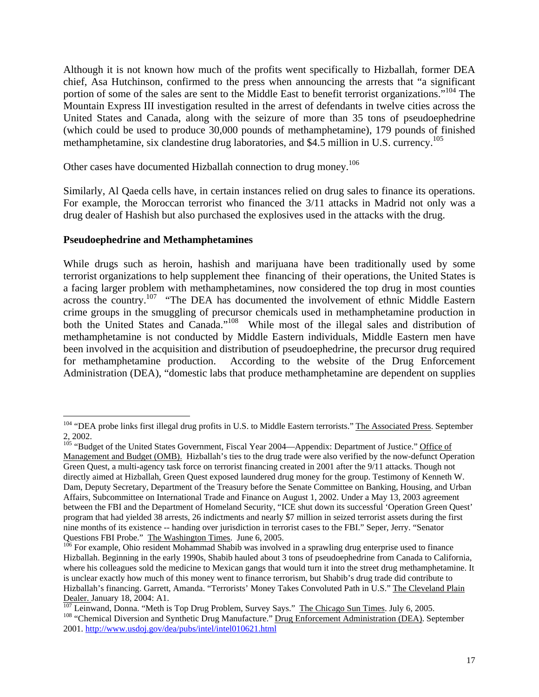Although it is not known how much of the profits went specifically to Hizballah, former DEA chief, Asa Hutchinson, confirmed to the press when announcing the arrests that "a significant portion of some of the sales are sent to the Middle East to benefit terrorist organizations."<sup>104</sup> The Mountain Express III investigation resulted in the arrest of defendants in twelve cities across the United States and Canada, along with the seizure of more than 35 tons of pseudoephedrine (which could be used to produce 30,000 pounds of methamphetamine), 179 pounds of finished methamphetamine, six clandestine drug laboratories, and \$4.5 million in U.S. currency.<sup>[105](#page-16-1)</sup>

Other cases have documented Hizballah connection to drug money.<sup>[106](#page-16-2)</sup>

Similarly, Al Qaeda cells have, in certain instances relied on drug sales to finance its operations. For example, the Moroccan terrorist who financed the 3/11 attacks in Madrid not only was a drug dealer of Hashish but also purchased the explosives used in the attacks with the drug.

### **Pseudoephedrine and Methamphetamines**

While drugs such as heroin, hashish and marijuana have been traditionally used by some terrorist organizations to help supplement thee financing of their operations, the United States is a facing larger problem with methamphetamines, now considered the top drug in most counties across the country.<sup>107</sup> "The DEA has documented the involvement of ethnic Middle Eastern crime groups in the smuggling of precursor chemicals used in methamphetamine production in both the United States and Canada."<sup>108</sup> While most of the illegal sales and distribution of methamphetamine is not conducted by Middle Eastern individuals, Middle Eastern men have been involved in the acquisition and distribution of pseudoephedrine, the precursor drug required for methamphetamine production. According to the website of the Drug Enforcement Administration (DEA), "domestic labs that produce methamphetamine are dependent on supplies

<span id="page-16-0"></span><sup>1</sup> <sup>104</sup> "DEA probe links first illegal drug profits in U.S. to Middle Eastern terrorists." The Associated Press. September 2, 2002.<br><sup>105</sup> "Budget of the United States Government, Fiscal Year 2004—Appendix: Department of Justice." <u>Office of</u>

<span id="page-16-1"></span>Management and Budget (OMB). Hizballah's ties to the drug trade were also verified by the now-defunct Operation Green Quest, a multi-agency task force on terrorist financing created in 2001 after the 9/11 attacks. Though not directly aimed at Hizballah, Green Quest exposed laundered drug money for the group. Testimony of Kenneth W. Dam, Deputy Secretary, Department of the Treasury before the Senate Committee on Banking, Housing, and Urban Affairs, Subcommittee on International Trade and Finance on August 1, 2002. Under a May 13, 2003 agreement between the FBI and the Department of Homeland Security, "ICE shut down its successful 'Operation Green Quest' program that had yielded 38 arrests, 26 indictments and nearly \$7 million in seized terrorist assets during the first nine months of its existence -- handing over jurisdiction in terrorist cases to the FBI." Seper, Jerry. "Senator Questions FBI Probe." The Washington Times. June 6, 2005.

<span id="page-16-2"></span> $106$  For example, Ohio resident Mohammad Shabib was involved in a sprawling drug enterprise used to finance Hizballah. Beginning in the early 1990s, Shabib hauled about 3 tons of pseudoephedrine from Canada to California, where his colleagues sold the medicine to Mexican gangs that would turn it into the street drug methamphetamine. It is unclear exactly how much of this money went to finance terrorism, but Shabib's drug trade did contribute to Hizballah's financing. Garrett, Amanda. "Terrorists' Money Takes Convoluted Path in U.S." The Cleveland Plain

<span id="page-16-4"></span><span id="page-16-3"></span>Dealer. January 18, 2004: A1.<br>
<sup>107</sup> Leinwand, Donna. "Meth is Top Drug Problem, Survey Says." The Chicago Sun Times. July 6, 2005.<br>
<sup>108</sup> "Chemical Diversion and Synthetic Drug Manufacture." <u>Drug Enforcement Administrati</u> 2001.<http://www.usdoj.gov/dea/pubs/intel/intel010621.html>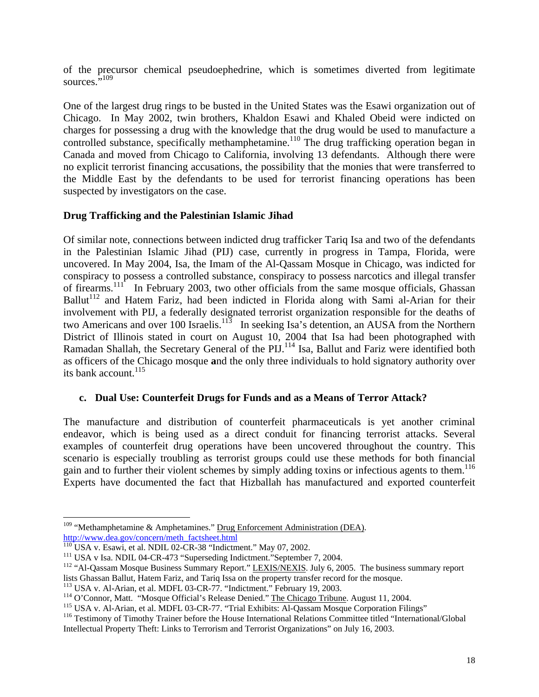of the precursor chemical pseudoephedrine, which is sometimes diverted from legitimate sources."<sup>109</sup>

One of the largest drug rings to be busted in the United States was the Esawi organization out of Chicago. In May 2002, twin brothers, Khaldon Esawi and Khaled Obeid were indicted on charges for possessing a drug with the knowledge that the drug would be used to manufacture a controlled substance, specifically methamphetamine.<sup>110</sup> The drug trafficking operation began in Canada and moved from Chicago to California, involving 13 defendants. Although there were no explicit terrorist financing accusations, the possibility that the monies that were transferred to the Middle East by the defendants to be used for terrorist financing operations has been suspected by investigators on the case.

## **Drug Trafficking and the Palestinian Islamic Jihad**

Of similar note, connections between indicted drug trafficker Tariq Isa and two of the defendants in the Palestinian Islamic Jihad (PIJ) case, currently in progress in Tampa, Florida, were uncovered. In May 2004, Isa, the Imam of the Al-Qassam Mosque in Chicago, was indicted for conspiracy to possess a controlled substance, conspiracy to possess narcotics and illegal transfer of firearms.<sup>111</sup> In February 2003, two other officials from the same mosque officials, Ghassan Ballut<sup>112</sup> and Hatem Fariz, had been indicted in Florida along with Sami al-Arian for their involvement with PIJ, a federally designated terrorist organization responsible for the deaths of two Americans and over 100 Israelis.[113](#page-17-4)In seeking Isa's detention, an AUSA from the Northern District of Illinois stated in court on August 10, 2004 that Isa had been photographed with Ramadan Shallah, the Secretary General of the PIJ.<sup>114</sup> Isa, Ballut and Fariz were identified both as officers of the Chicago mosque **a**nd the only three individuals to hold signatory authority over its bank account.<sup>115</sup>

### **c. Dual Use: Counterfeit Drugs for Funds and as a Means of Terror Attack?**

The manufacture and distribution of counterfeit pharmaceuticals is yet another criminal endeavor, which is being used as a direct conduit for financing terrorist attacks. Several examples of counterfeit drug operations have been uncovered throughout the country. This scenario is especially troubling as terrorist groups could use these methods for both financial gain and to further their violent schemes by simply adding toxins or infectious agents to them. [116](#page-17-7) Experts have documented the fact that Hizballah has manufactured and exported counterfeit

1

<span id="page-17-0"></span> $109$  "Methamphetamine & Amphetamines." Drug Enforcement Administration (DEA).

<span id="page-17-1"></span>

<span id="page-17-3"></span><span id="page-17-2"></span>

http://www.dea.gov/concern/meth\_factsheet.html<br>
<sup>110</sup> USA v. Esawi, et al. NDIL 02-CR-38 "Indictment." May 07, 2002.<br>
<sup>111</sup> USA v Isa. NDIL 04-CR-473 "Superseding Indictment." September 7, 2004.<br>
<sup>112</sup> "Al-Qassam Mosque Bu

<span id="page-17-5"></span>

<span id="page-17-4"></span><sup>&</sup>lt;sup>113</sup> USA v. Al-Arian, et al. MDFL 03-CR-77. "Indictment." February 19, 2003.<br><sup>114</sup> O'Connor, Matt. "Mosque Official's Release Denied." <u>The Chicago Tribune</u>. August 11, 2004.<br><sup>115</sup> USA v. Al-Arian, et al. MDFL 03-CR-77. "

<span id="page-17-6"></span>

<span id="page-17-7"></span>Intellectual Property Theft: Links to Terrorism and Terrorist Organizations" on July 16, 2003.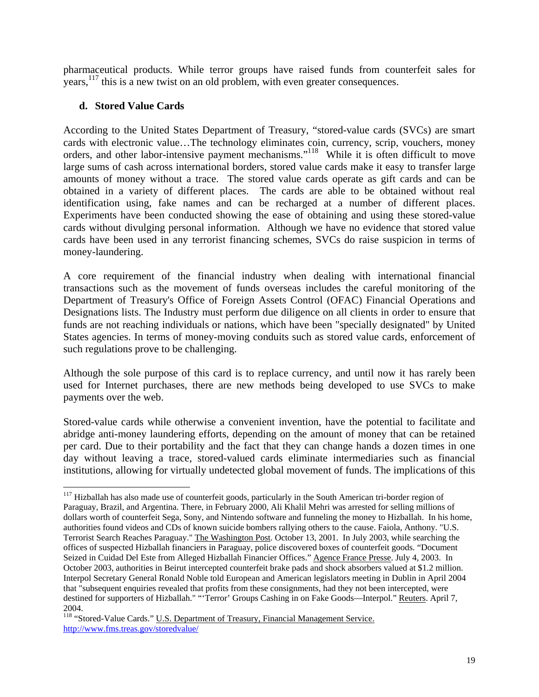pharmaceutical products. While terror groups have raised funds from counterfeit sales for years, <sup>117</sup> this is a new twist on an old problem, with even greater consequences.

## **d. Stored Value Cards**

 $\overline{a}$ 

According to the United States Department of Treasury, "stored-value cards (SVCs) are smart cards with electronic value…The technology eliminates coin, currency, scrip, vouchers, money orders, and other labor-intensive payment mechanisms."[118](#page-18-1) While it is often difficult to move large sums of cash across international borders, stored value cards make it easy to transfer large amounts of money without a trace. The stored value cards operate as gift cards and can be obtained in a variety of different places. The cards are able to be obtained without real identification using, fake names and can be recharged at a number of different places. Experiments have been conducted showing the ease of obtaining and using these stored-value cards without divulging personal information. Although we have no evidence that stored value cards have been used in any terrorist financing schemes, SVCs do raise suspicion in terms of money-laundering.

A core requirement of the financial industry when dealing with international financial transactions such as the movement of funds overseas includes the careful monitoring of the Department of Treasury's Office of Foreign Assets Control (OFAC) Financial Operations and Designations lists. The Industry must perform due diligence on all clients in order to ensure that funds are not reaching individuals or nations, which have been "specially designated" by United States agencies. In terms of money-moving conduits such as stored value cards, enforcement of such regulations prove to be challenging.

Although the sole purpose of this card is to replace currency, and until now it has rarely been used for Internet purchases, there are new methods being developed to use SVCs to make payments over the web.

Stored-value cards while otherwise a convenient invention, have the potential to facilitate and abridge anti-money laundering efforts, depending on the amount of money that can be retained per card. Due to their portability and the fact that they can change hands a dozen times in one day without leaving a trace, stored-valued cards eliminate intermediaries such as financial institutions, allowing for virtually undetected global movement of funds. The implications of this

<span id="page-18-0"></span><sup>&</sup>lt;sup>117</sup> Hizballah has also made use of counterfeit goods, particularly in the South American tri-border region of Paraguay, Brazil, and Argentina. There, in February 2000, Ali Khalil Mehri was arrested for selling millions of dollars worth of counterfeit Sega, Sony, and Nintendo software and funneling the money to Hizballah. In his home, authorities found videos and CDs of known suicide bombers rallying others to the cause. Faiola, Anthony. "U.S. Terrorist Search Reaches Paraguay." The Washington Post. October 13, 2001. In July 2003, while searching the offices of suspected Hizballah financiers in Paraguay, police discovered boxes of counterfeit goods. "Document Seized in Cuidad Del Este from Alleged Hizballah Financier Offices." Agence France Presse. July 4, 2003. In October 2003, authorities in Beirut intercepted counterfeit brake pads and shock absorbers valued at \$1.2 million. Interpol Secretary General Ronald Noble told European and American legislators meeting in Dublin in April 2004 that "subsequent enquiries revealed that profits from these consignments, had they not been intercepted, were destined for supporters of Hizballah." "'Terror' Groups Cashing in on Fake Goods—Interpol." Reuters. April 7,

<span id="page-18-1"></span><sup>2004.&</sup>lt;br><sup>118</sup> "Stored-Value Cards." <u>U.S. Department of Treasury, Financial Management Service.</u> <http://www.fms.treas.gov/storedvalue/>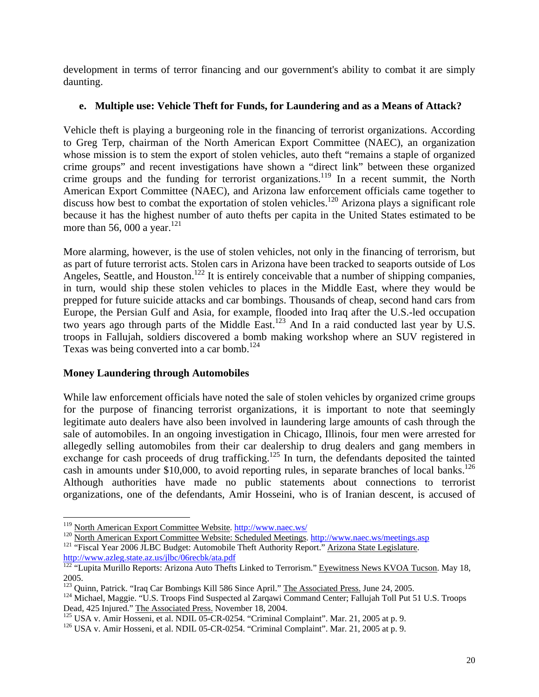development in terms of terror financing and our government's ability to combat it are simply daunting.

## **e. Multiple use: Vehicle Theft for Funds, for Laundering and as a Means of Attack?**

Vehicle theft is playing a burgeoning role in the financing of terrorist organizations. According to Greg Terp, chairman of the North American Export Committee (NAEC), an organization whose mission is to stem the export of stolen vehicles, auto theft "remains a staple of organized crime groups" and recent investigations have shown a "direct link" between these organized crime groups and the funding for terrorist organizations.<sup>119</sup> In a recent summit, the North American Export Committee (NAEC), and Arizona law enforcement officials came together to discuss how best to combat the exportation of stolen vehicles.<sup>120</sup> Arizona plays a significant role because it has the highest number of auto thefts per capita in the United States estimated to be more than 56, 000 a year.<sup>121</sup>

More alarming, however, is the use of stolen vehicles, not only in the financing of terrorism, but as part of future terrorist acts. Stolen cars in Arizona have been tracked to seaports outside of Los Angeles, Seattle, and Houston.<sup>122</sup> It is entirely conceivable that a number of shipping companies, in turn, would ship these stolen vehicles to places in the Middle East, where they would be prepped for future suicide attacks and car bombings. Thousands of cheap, second hand cars from Europe, the Persian Gulf and Asia, for example, flooded into Iraq after the U.S.-led occupation two years ago through parts of the Middle East.<sup>123</sup> And In a raid conducted last year by U.S. troops in Fallujah, soldiers discovered a bomb making workshop where an SUV registered in Texas was being converted into a car bomb. [124](#page-19-5)

## **Money Laundering through Automobiles**

1

While law enforcement officials have noted the sale of stolen vehicles by organized crime groups for the purpose of financing terrorist organizations, it is important to note that seemingly legitimate auto dealers have also been involved in laundering large amounts of cash through the sale of automobiles. In an ongoing investigation in Chicago, Illinois, four men were arrested for allegedly selling automobiles from their car dealership to drug dealers and gang members in exchange for cash proceeds of drug trafficking.<sup>125</sup> In turn, the defendants deposited the tainted cash in amounts under \$10,000, to avoid reporting rules, in separate branches of local banks.<sup>126</sup> Although authorities have made no public statements about connections to terrorist organizations, one of the defendants, Amir Hosseini, who is of Iranian descent, is accused of

<span id="page-19-1"></span><span id="page-19-0"></span>

<sup>&</sup>lt;sup>119</sup> North American Export Committee Website.<http://www.naec.ws/><br><sup>120</sup> North American Export Committee Website: Scheduled Meetings.<http://www.naec.ws/meetings.asp><br><sup>121</sup> "Fiscal Year 2006 JLBC Budget: Automobile Theft Au

<span id="page-19-2"></span>http://www.azleg.state.az.us/jlbc/06recbk/ata.pdf<br><sup>122</sup> "Lupita Murillo Reports: Arizona Auto Thefts Linked to Terrorism." Eyewitness News KVOA Tucson. May 18,

<span id="page-19-3"></span>

<span id="page-19-5"></span><span id="page-19-4"></span>

<sup>2005.&</sup>lt;br><sup>123</sup> Quinn, Patrick. "Iraq Car Bombings Kill 586 Since April." The Associated Press. June 24, 2005.<br><sup>124</sup> Michael, Maggie. "U.S. Troops Find Suspected al Zarqawi Command Center; Fallujah Toll Put 51 U.S. Troops<br>Dead

<span id="page-19-6"></span> $^{125}$  USA v. Amir Hosseni, et al. NDIL 05-CR-0254. "Criminal Complaint". Mar. 21, 2005 at p. 9.<br><sup>126</sup> USA v. Amir Hosseni, et al. NDIL 05-CR-0254. "Criminal Complaint". Mar. 21, 2005 at p. 9.

<span id="page-19-7"></span>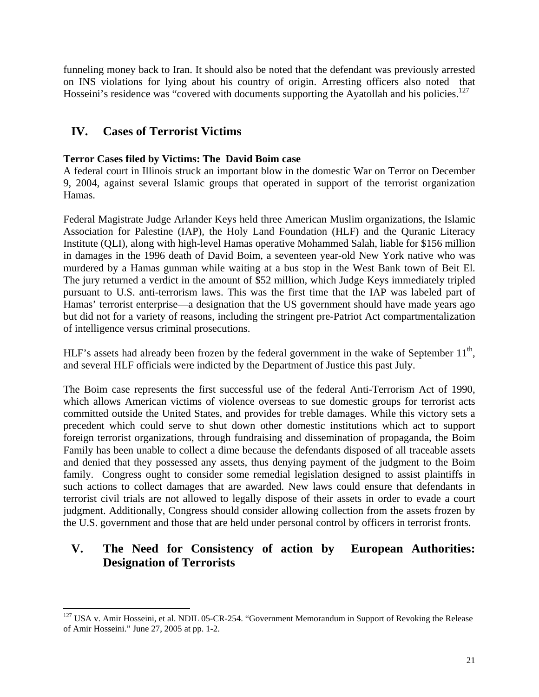funneling money back to Iran. It should also be noted that the defendant was previously arrested on INS violations for lying about his country of origin. Arresting officers also noted that Hosseini's residence was "covered with documents supporting the Ayatollah and his policies.<sup>127</sup>

## **IV. Cases of Terrorist Victims**

## **Terror Cases filed by Victims: The David Boim case**

A federal court in Illinois struck an important blow in the domestic War on Terror on December 9, 2004, against several Islamic groups that operated in support of the terrorist organization Hamas.

Federal Magistrate Judge Arlander Keys held three American Muslim organizations, the Islamic Association for Palestine (IAP), the Holy Land Foundation (HLF) and the Quranic Literacy Institute (QLI), along with high-level Hamas operative Mohammed Salah, liable for \$156 million in damages in the 1996 death of David Boim, a seventeen year-old New York native who was murdered by a Hamas gunman while waiting at a bus stop in the West Bank town of Beit El. The jury returned a verdict in the amount of \$52 million, which Judge Keys immediately tripled pursuant to U.S. anti-terrorism laws. This was the first time that the IAP was labeled part of Hamas' terrorist enterprise—a designation that the US government should have made years ago but did not for a variety of reasons, including the stringent pre-Patriot Act compartmentalization of intelligence versus criminal prosecutions.

HLF's assets had already been frozen by the federal government in the wake of September  $11<sup>th</sup>$ , and several HLF officials were indicted by the Department of Justice this past July.

The Boim case represents the first successful use of the federal Anti-Terrorism Act of 1990, which allows American victims of violence overseas to sue domestic groups for terrorist acts committed outside the United States, and provides for treble damages. While this victory sets a precedent which could serve to shut down other domestic institutions which act to support foreign terrorist organizations, through fundraising and dissemination of propaganda, the Boim Family has been unable to collect a dime because the defendants disposed of all traceable assets and denied that they possessed any assets, thus denying payment of the judgment to the Boim family. Congress ought to consider some remedial legislation designed to assist plaintiffs in such actions to collect damages that are awarded. New laws could ensure that defendants in terrorist civil trials are not allowed to legally dispose of their assets in order to evade a court judgment. Additionally, Congress should consider allowing collection from the assets frozen by the U.S. government and those that are held under personal control by officers in terrorist fronts.

## **V. The Need for Consistency of action by European Authorities: Designation of Terrorists**

<span id="page-20-0"></span> $\overline{a}$  $127$  USA v. Amir Hosseini, et al. NDIL 05-CR-254. "Government Memorandum in Support of Revoking the Release of Amir Hosseini." June 27, 2005 at pp. 1-2.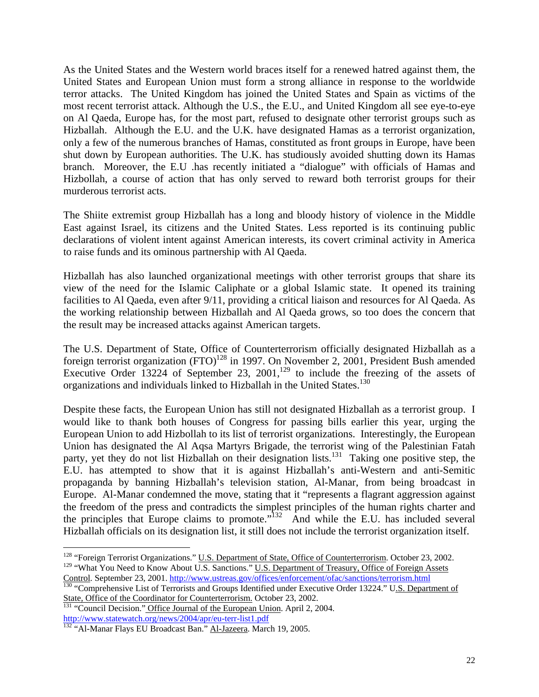As the United States and the Western world braces itself for a renewed hatred against them, the United States and European Union must form a strong alliance in response to the worldwide terror attacks. The United Kingdom has joined the United States and Spain as victims of the most recent terrorist attack. Although the U.S., the E.U., and United Kingdom all see eye-to-eye on Al Qaeda, Europe has, for the most part, refused to designate other terrorist groups such as Hizballah. Although the E.U. and the U.K. have designated Hamas as a terrorist organization, only a few of the numerous branches of Hamas, constituted as front groups in Europe, have been shut down by European authorities. The U.K. has studiously avoided shutting down its Hamas branch. Moreover, the E.U .has recently initiated a "dialogue" with officials of Hamas and Hizbollah, a course of action that has only served to reward both terrorist groups for their murderous terrorist acts.

The Shiite extremist group Hizballah has a long and bloody history of violence in the Middle East against Israel, its citizens and the United States. Less reported is its continuing public declarations of violent intent against American interests, its covert criminal activity in America to raise funds and its ominous partnership with Al Qaeda.

Hizballah has also launched organizational meetings with other terrorist groups that share its view of the need for the Islamic Caliphate or a global Islamic state. It opened its training facilities to Al Qaeda, even after 9/11, providing a critical liaison and resources for Al Qaeda. As the working relationship between Hizballah and Al Qaeda grows, so too does the concern that the result may be increased attacks against American targets.

The U.S. Department of State, Office of Counterterrorism officially designated Hizballah as a foreign terrorist organization  $(FTO)^{128}$  in 1997. On November 2, 2001, President Bush amended Executive Order 13224 of September 23, 2001,<sup>129</sup> to include the freezing of the assets of organizations and individuals linked to Hizballah in the United States.<sup>[130](#page-21-2)</sup>

Despite these facts, the European Union has still not designated Hizballah as a terrorist group. I would like to thank both houses of Congress for passing bills earlier this year, urging the European Union to add Hizbollah to its list of terrorist organizations. Interestingly, the European Union has designated the Al Aqsa Martyrs Brigade, the terrorist wing of the Palestinian Fatah party, yet they do not list Hizballah on their designation lists.<sup>131</sup> Taking one positive step, the E.U. has attempted to show that it is against Hizballah's anti-Western and anti-Semitic propaganda by banning Hizballah's television station, Al-Manar, from being broadcast in Europe. Al-Manar condemned the move, stating that it "represents a flagrant aggression against the freedom of the press and contradicts the simplest principles of the human rights charter and the principles that Europe claims to promote."[132](#page-21-4) And while the E.U. has included several Hizballah officials on its designation list, it still does not include the terrorist organization itself.

<span id="page-21-1"></span><span id="page-21-0"></span><sup>&</sup>lt;sup>128</sup> "Foreign Terrorist Organizations." U.S. Department of State, Office of Counterterrorism. October 23, 2002. <sup>129</sup> "What You Need to Know About U.S. Sanctions." <u>U.S. Department of Treasury, Office of Foreign Assets</u><br>Control. September 23, 2001. http://www.ustreas.gov/offices/enforcement/ofac/sanctions/terrorism.html

<span id="page-21-2"></span>Control. September 23, 2001. **http://www.ustreas.gov/offices/enforcement/offices/enforcement/offices/sanctions/terrorists and Groups Identified under Executive Order 13224." U<u>.S. Department of</u>** 

State, Office of the Coordinator for Counterterrorism. October 23, 2002.<br><sup>131</sup> "Council Decision." Office Journal of the European Union. April 2, 2004.

<span id="page-21-4"></span><span id="page-21-3"></span>http://www.statewatch.org/news/2004/apr/eu-terr-list1.pdf<br>
<sup>132</sup> "Al-Manar Flays EU Broadcast Ban." <u>Al-Jazeera</u>. March 19, 2005.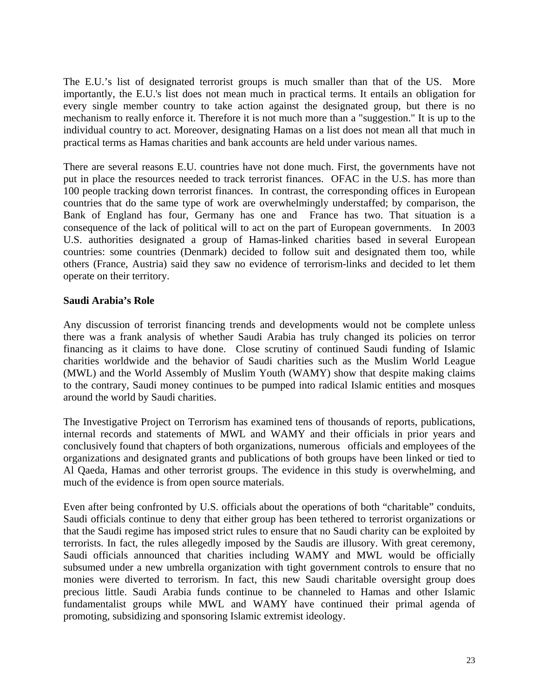The E.U.'s list of designated terrorist groups is much smaller than that of the US. More importantly, the E.U.'s list does not mean much in practical terms. It entails an obligation for every single member country to take action against the designated group, but there is no mechanism to really enforce it. Therefore it is not much more than a "suggestion." It is up to the individual country to act. Moreover, designating Hamas on a list does not mean all that much in practical terms as Hamas charities and bank accounts are held under various names.

There are several reasons E.U. countries have not done much. First, the governments have not put in place the resources needed to track terrorist finances. OFAC in the U.S. has more than 100 people tracking down terrorist finances. In contrast, the corresponding offices in European countries that do the same type of work are overwhelmingly understaffed; by comparison, the Bank of England has four, Germany has one and France has two. That situation is a consequence of the lack of political will to act on the part of European governments. In 2003 U.S. authorities designated a group of Hamas-linked charities based in several European countries: some countries (Denmark) decided to follow suit and designated them too, while others (France, Austria) said they saw no evidence of terrorism-links and decided to let them operate on their territory.

## **Saudi Arabia's Role**

Any discussion of terrorist financing trends and developments would not be complete unless there was a frank analysis of whether Saudi Arabia has truly changed its policies on terror financing as it claims to have done. Close scrutiny of continued Saudi funding of Islamic charities worldwide and the behavior of Saudi charities such as the Muslim World League (MWL) and the World Assembly of Muslim Youth (WAMY) show that despite making claims to the contrary, Saudi money continues to be pumped into radical Islamic entities and mosques around the world by Saudi charities.

The Investigative Project on Terrorism has examined tens of thousands of reports, publications, internal records and statements of MWL and WAMY and their officials in prior years and conclusively found that chapters of both organizations, numerous officials and employees of the organizations and designated grants and publications of both groups have been linked or tied to Al Qaeda, Hamas and other terrorist groups. The evidence in this study is overwhelming, and much of the evidence is from open source materials.

Even after being confronted by U.S. officials about the operations of both "charitable" conduits, Saudi officials continue to deny that either group has been tethered to terrorist organizations or that the Saudi regime has imposed strict rules to ensure that no Saudi charity can be exploited by terrorists. In fact, the rules allegedly imposed by the Saudis are illusory. With great ceremony, Saudi officials announced that charities including WAMY and MWL would be officially subsumed under a new umbrella organization with tight government controls to ensure that no monies were diverted to terrorism. In fact, this new Saudi charitable oversight group does precious little. Saudi Arabia funds continue to be channeled to Hamas and other Islamic fundamentalist groups while MWL and WAMY have continued their primal agenda of promoting, subsidizing and sponsoring Islamic extremist ideology.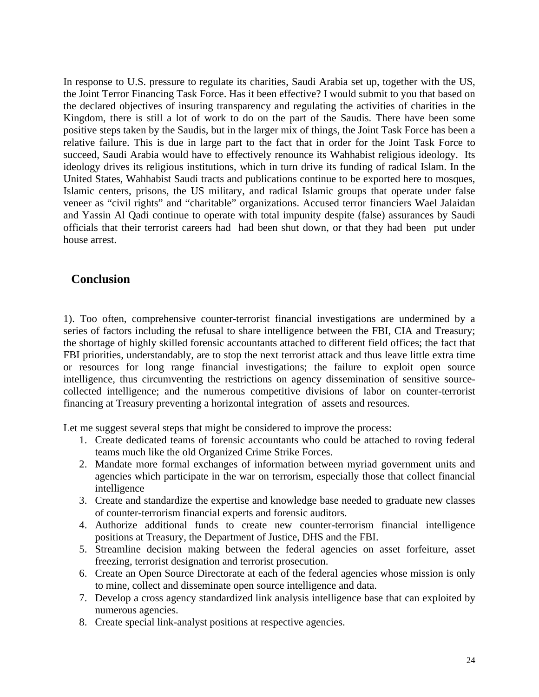In response to U.S. pressure to regulate its charities, Saudi Arabia set up, together with the US, the Joint Terror Financing Task Force. Has it been effective? I would submit to you that based on the declared objectives of insuring transparency and regulating the activities of charities in the Kingdom, there is still a lot of work to do on the part of the Saudis. There have been some positive steps taken by the Saudis, but in the larger mix of things, the Joint Task Force has been a relative failure. This is due in large part to the fact that in order for the Joint Task Force to succeed, Saudi Arabia would have to effectively renounce its Wahhabist religious ideology. Its ideology drives its religious institutions, which in turn drive its funding of radical Islam. In the United States, Wahhabist Saudi tracts and publications continue to be exported here to mosques, Islamic centers, prisons, the US military, and radical Islamic groups that operate under false veneer as "civil rights" and "charitable" organizations. Accused terror financiers Wael Jalaidan and Yassin Al Qadi continue to operate with total impunity despite (false) assurances by Saudi officials that their terrorist careers had had been shut down, or that they had been put under house arrest.

## **Conclusion**

1). Too often, comprehensive counter-terrorist financial investigations are undermined by a series of factors including the refusal to share intelligence between the FBI, CIA and Treasury; the shortage of highly skilled forensic accountants attached to different field offices; the fact that FBI priorities, understandably, are to stop the next terrorist attack and thus leave little extra time or resources for long range financial investigations; the failure to exploit open source intelligence, thus circumventing the restrictions on agency dissemination of sensitive sourcecollected intelligence; and the numerous competitive divisions of labor on counter-terrorist financing at Treasury preventing a horizontal integration of assets and resources.

Let me suggest several steps that might be considered to improve the process:

- 1. Create dedicated teams of forensic accountants who could be attached to roving federal teams much like the old Organized Crime Strike Forces.
- 2. Mandate more formal exchanges of information between myriad government units and agencies which participate in the war on terrorism, especially those that collect financial intelligence
- 3. Create and standardize the expertise and knowledge base needed to graduate new classes of counter-terrorism financial experts and forensic auditors.
- 4. Authorize additional funds to create new counter-terrorism financial intelligence positions at Treasury, the Department of Justice, DHS and the FBI.
- 5. Streamline decision making between the federal agencies on asset forfeiture, asset freezing, terrorist designation and terrorist prosecution.
- 6. Create an Open Source Directorate at each of the federal agencies whose mission is only to mine, collect and disseminate open source intelligence and data.
- 7. Develop a cross agency standardized link analysis intelligence base that can exploited by numerous agencies.
- 8. Create special link-analyst positions at respective agencies.